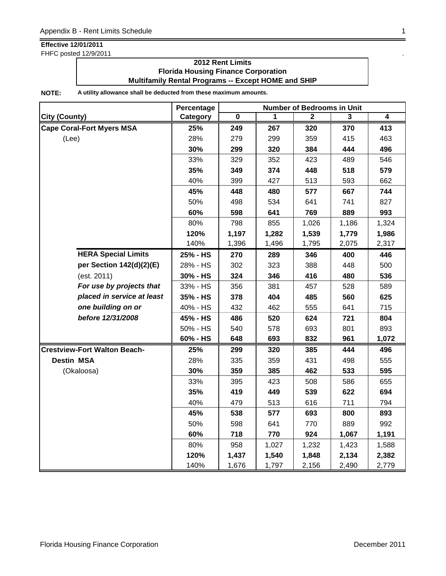FHFC posted 12/9/2011

### **2012 Rent Limits Florida Housing Finance Corporation Multifamily Rental Programs -- Except HOME and SHIP**

|                                     | Percentage | <b>Number of Bedrooms in Unit</b> |       |       |       |       |  |
|-------------------------------------|------------|-----------------------------------|-------|-------|-------|-------|--|
| <b>City (County)</b>                | Category   | $\pmb{0}$                         | 1     | 2     | 3     | 4     |  |
| <b>Cape Coral-Fort Myers MSA</b>    | 25%        | 249                               | 267   | 320   | 370   | 413   |  |
| (Lee)                               | 28%        | 279                               | 299   | 359   | 415   | 463   |  |
|                                     | 30%        | 299                               | 320   | 384   | 444   | 496   |  |
|                                     | 33%        | 329                               | 352   | 423   | 489   | 546   |  |
|                                     | 35%        | 349                               | 374   | 448   | 518   | 579   |  |
|                                     | 40%        | 399                               | 427   | 513   | 593   | 662   |  |
|                                     | 45%        | 448                               | 480   | 577   | 667   | 744   |  |
|                                     | 50%        | 498                               | 534   | 641   | 741   | 827   |  |
|                                     | 60%        | 598                               | 641   | 769   | 889   | 993   |  |
|                                     | 80%        | 798                               | 855   | 1,026 | 1,186 | 1,324 |  |
|                                     | 120%       | 1,197                             | 1,282 | 1,539 | 1,779 | 1,986 |  |
|                                     | 140%       | 1,396                             | 1,496 | 1,795 | 2,075 | 2,317 |  |
| <b>HERA Special Limits</b>          | 25% - HS   | 270                               | 289   | 346   | 400   | 446   |  |
| per Section 142(d)(2)(E)            | 28% - HS   | 302                               | 323   | 388   | 448   | 500   |  |
| (est. 2011)                         | 30% - HS   | 324                               | 346   | 416   | 480   | 536   |  |
| For use by projects that            | 33% - HS   | 356                               | 381   | 457   | 528   | 589   |  |
| placed in service at least          | 35% - HS   | 378                               | 404   | 485   | 560   | 625   |  |
| one building on or                  | 40% - HS   | 432                               | 462   | 555   | 641   | 715   |  |
| before 12/31/2008                   | 45% - HS   | 486                               | 520   | 624   | 721   | 804   |  |
|                                     | 50% - HS   | 540                               | 578   | 693   | 801   | 893   |  |
|                                     | 60% - HS   | 648                               | 693   | 832   | 961   | 1,072 |  |
| <b>Crestview-Fort Walton Beach-</b> | 25%        | 299                               | 320   | 385   | 444   | 496   |  |
| <b>Destin MSA</b>                   | 28%        | 335                               | 359   | 431   | 498   | 555   |  |
| (Okaloosa)                          | 30%        | 359                               | 385   | 462   | 533   | 595   |  |
|                                     | 33%        | 395                               | 423   | 508   | 586   | 655   |  |
|                                     | 35%        | 419                               | 449   | 539   | 622   | 694   |  |
|                                     | 40%        | 479                               | 513   | 616   | 711   | 794   |  |
|                                     | 45%        | 538                               | 577   | 693   | 800   | 893   |  |
|                                     | 50%        | 598                               | 641   | 770   | 889   | 992   |  |
|                                     | 60%        | 718                               | 770   | 924   | 1,067 | 1,191 |  |
|                                     | 80%        | 958                               | 1,027 | 1,232 | 1,423 | 1,588 |  |
|                                     | 120%       | 1,437                             | 1,540 | 1,848 | 2,134 | 2,382 |  |
|                                     | 140%       | 1,676                             | 1,797 | 2,156 | 2,490 | 2,779 |  |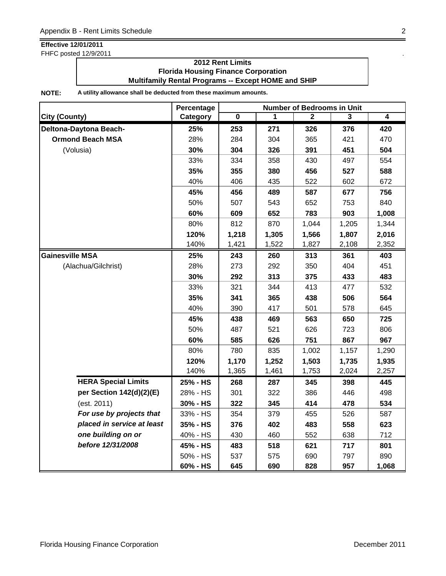FHFC posted 12/9/2011

### **2012 Rent Limits Florida Housing Finance Corporation Multifamily Rental Programs -- Except HOME and SHIP**

|                            | Percentage | <b>Number of Bedrooms in Unit</b> |       |              |       |                         |  |
|----------------------------|------------|-----------------------------------|-------|--------------|-------|-------------------------|--|
| <b>City (County)</b>       | Category   | $\overline{\mathbf{0}}$           | 1     | $\mathbf{2}$ | 3     | $\overline{\mathbf{4}}$ |  |
| Deltona-Daytona Beach-     | 25%        | 253                               | 271   | 326          | 376   | 420                     |  |
| <b>Ormond Beach MSA</b>    | 28%        | 284                               | 304   | 365          | 421   | 470                     |  |
| (Volusia)                  | 30%        | 304                               | 326   | 391          | 451   | 504                     |  |
|                            | 33%        | 334                               | 358   | 430          | 497   | 554                     |  |
|                            | 35%        | 355                               | 380   | 456          | 527   | 588                     |  |
|                            | 40%        | 406                               | 435   | 522          | 602   | 672                     |  |
|                            | 45%        | 456                               | 489   | 587          | 677   | 756                     |  |
|                            | 50%        | 507                               | 543   | 652          | 753   | 840                     |  |
|                            | 60%        | 609                               | 652   | 783          | 903   | 1,008                   |  |
|                            | 80%        | 812                               | 870   | 1,044        | 1,205 | 1,344                   |  |
|                            | 120%       | 1,218                             | 1,305 | 1,566        | 1,807 | 2,016                   |  |
|                            | 140%       | 1,421                             | 1,522 | 1,827        | 2,108 | 2,352                   |  |
| <b>Gainesville MSA</b>     | 25%        | 243                               | 260   | 313          | 361   | 403                     |  |
| (Alachua/Gilchrist)        | 28%        | 273                               | 292   | 350          | 404   | 451                     |  |
|                            | 30%        | 292                               | 313   | 375          | 433   | 483                     |  |
|                            | 33%        | 321                               | 344   | 413          | 477   | 532                     |  |
|                            | 35%        | 341                               | 365   | 438          | 506   | 564                     |  |
|                            | 40%        | 390                               | 417   | 501          | 578   | 645                     |  |
|                            | 45%        | 438                               | 469   | 563          | 650   | 725                     |  |
|                            | 50%        | 487                               | 521   | 626          | 723   | 806                     |  |
|                            | 60%        | 585                               | 626   | 751          | 867   | 967                     |  |
|                            | 80%        | 780                               | 835   | 1,002        | 1,157 | 1,290                   |  |
|                            | 120%       | 1,170                             | 1,252 | 1,503        | 1,735 | 1,935                   |  |
|                            | 140%       | 1,365                             | 1,461 | 1,753        | 2,024 | 2,257                   |  |
| <b>HERA Special Limits</b> | 25% - HS   | 268                               | 287   | 345          | 398   | 445                     |  |
| per Section 142(d)(2)(E)   | 28% - HS   | 301                               | 322   | 386          | 446   | 498                     |  |
| (est. 2011)                | 30% - HS   | 322                               | 345   | 414          | 478   | 534                     |  |
| For use by projects that   | 33% - HS   | 354                               | 379   | 455          | 526   | 587                     |  |
| placed in service at least | 35% - HS   | 376                               | 402   | 483          | 558   | 623                     |  |
| one building on or         | 40% - HS   | 430                               | 460   | 552          | 638   | 712                     |  |
| before 12/31/2008          | 45% - HS   | 483                               | 518   | 621          | 717   | 801                     |  |
|                            | 50% - HS   | 537                               | 575   | 690          | 797   | 890                     |  |
|                            | 60% - HS   | 645                               | 690   | 828          | 957   | 1,068                   |  |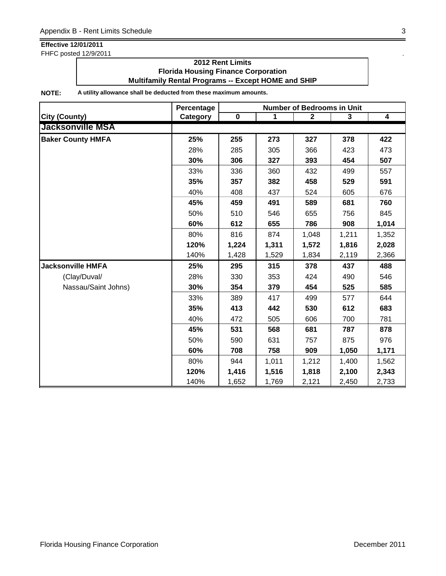FHFC posted 12/9/2011

### **2012 Rent Limits Florida Housing Finance Corporation Multifamily Rental Programs -- Except HOME and SHIP**

|                          | Percentage | <b>Number of Bedrooms in Unit</b> |       |                |       |                         |  |
|--------------------------|------------|-----------------------------------|-------|----------------|-------|-------------------------|--|
| <b>City (County)</b>     | Category   | $\mathbf 0$                       | 1     | $\overline{2}$ | 3     | $\overline{\mathbf{4}}$ |  |
| <b>Jacksonville MSA</b>  |            |                                   |       |                |       |                         |  |
| <b>Baker County HMFA</b> | 25%        | 255                               | 273   | 327            | 378   | 422                     |  |
|                          | 28%        | 285                               | 305   | 366            | 423   | 473                     |  |
|                          | 30%        | 306                               | 327   | 393            | 454   | 507                     |  |
|                          | 33%        | 336                               | 360   | 432            | 499   | 557                     |  |
|                          | 35%        | 357                               | 382   | 458            | 529   | 591                     |  |
|                          | 40%        | 408                               | 437   | 524            | 605   | 676                     |  |
|                          | 45%        | 459                               | 491   | 589            | 681   | 760                     |  |
|                          | 50%        | 510                               | 546   | 655            | 756   | 845                     |  |
|                          | 60%        | 612                               | 655   | 786            | 908   | 1,014                   |  |
|                          | 80%        | 816                               | 874   | 1,048          | 1,211 | 1,352                   |  |
|                          | 120%       | 1,224                             | 1,311 | 1,572          | 1,816 | 2,028                   |  |
|                          | 140%       | 1,428                             | 1,529 | 1,834          | 2,119 | 2,366                   |  |
| <b>Jacksonville HMFA</b> | 25%        | 295                               | 315   | 378            | 437   | 488                     |  |
| (Clay/Duval/             | 28%        | 330                               | 353   | 424            | 490   | 546                     |  |
| Nassau/Saint Johns)      | 30%        | 354                               | 379   | 454            | 525   | 585                     |  |
|                          | 33%        | 389                               | 417   | 499            | 577   | 644                     |  |
|                          | 35%        | 413                               | 442   | 530            | 612   | 683                     |  |
|                          | 40%        | 472                               | 505   | 606            | 700   | 781                     |  |
|                          | 45%        | 531                               | 568   | 681            | 787   | 878                     |  |
|                          | 50%        | 590                               | 631   | 757            | 875   | 976                     |  |
|                          | 60%        | 708                               | 758   | 909            | 1,050 | 1,171                   |  |
|                          | 80%        | 944                               | 1,011 | 1,212          | 1,400 | 1,562                   |  |
|                          | 120%       | 1,416                             | 1,516 | 1,818          | 2,100 | 2,343                   |  |
|                          | 140%       | 1,652                             | 1,769 | 2,121          | 2,450 | 2,733                   |  |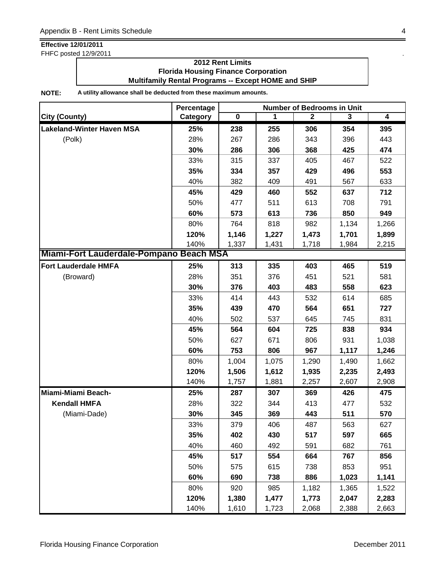FHFC posted 12/9/2011

### **2012 Rent Limits Florida Housing Finance Corporation Multifamily Rental Programs -- Except HOME and SHIP**

|                                         | Percentage |             |       | <b>Number of Bedrooms in Unit</b> |       |       |
|-----------------------------------------|------------|-------------|-------|-----------------------------------|-------|-------|
| <b>City (County)</b>                    | Category   | $\mathbf 0$ | 1     | $\overline{2}$                    | 3     | 4     |
| <b>Lakeland-Winter Haven MSA</b>        | 25%        | 238         | 255   | 306                               | 354   | 395   |
| (Polk)                                  | 28%        | 267         | 286   | 343                               | 396   | 443   |
|                                         | 30%        | 286         | 306   | 368                               | 425   | 474   |
|                                         | 33%        | 315         | 337   | 405                               | 467   | 522   |
|                                         | 35%        | 334         | 357   | 429                               | 496   | 553   |
|                                         | 40%        | 382         | 409   | 491                               | 567   | 633   |
|                                         | 45%        | 429         | 460   | 552                               | 637   | 712   |
|                                         | 50%        | 477         | 511   | 613                               | 708   | 791   |
|                                         | 60%        | 573         | 613   | 736                               | 850   | 949   |
|                                         | 80%        | 764         | 818   | 982                               | 1,134 | 1,266 |
|                                         | 120%       | 1,146       | 1,227 | 1,473                             | 1,701 | 1,899 |
|                                         | 140%       | 1,337       | 1,431 | 1,718                             | 1,984 | 2,215 |
| Miami-Fort Lauderdale-Pompano Beach MSA |            |             |       |                                   |       |       |
| <b>Fort Lauderdale HMFA</b>             | 25%        | 313         | 335   | 403                               | 465   | 519   |
| (Broward)                               | 28%        | 351         | 376   | 451                               | 521   | 581   |
|                                         | 30%        | 376         | 403   | 483                               | 558   | 623   |
|                                         | 33%        | 414         | 443   | 532                               | 614   | 685   |
|                                         | 35%        | 439         | 470   | 564                               | 651   | 727   |
|                                         | 40%        | 502         | 537   | 645                               | 745   | 831   |
|                                         | 45%        | 564         | 604   | 725                               | 838   | 934   |
|                                         | 50%        | 627         | 671   | 806                               | 931   | 1,038 |
|                                         | 60%        | 753         | 806   | 967                               | 1,117 | 1,246 |
|                                         | 80%        | 1,004       | 1,075 | 1,290                             | 1,490 | 1,662 |
|                                         | 120%       | 1,506       | 1,612 | 1,935                             | 2,235 | 2,493 |
|                                         | 140%       | 1,757       | 1,881 | 2,257                             | 2,607 | 2,908 |
| Miami-Miami Beach-                      | 25%        | 287         | 307   | 369                               | 426   | 475   |
| <b>Kendall HMFA</b>                     | 28%        | 322         | 344   | 413                               | 477   | 532   |
| (Miami-Dade)                            | 30%        | 345         | 369   | 443                               | 511   | 570   |
|                                         | 33%        | 379         | 406   | 487                               | 563   | 627   |
|                                         | 35%        | 402         | 430   | 517                               | 597   | 665   |
|                                         | 40%        | 460         | 492   | 591                               | 682   | 761   |
|                                         | 45%        | 517         | 554   | 664                               | 767   | 856   |
|                                         | 50%        | 575         | 615   | 738                               | 853   | 951   |
|                                         | 60%        | 690         | 738   | 886                               | 1,023 | 1,141 |
|                                         | 80%        | 920         | 985   | 1,182                             | 1,365 | 1,522 |
|                                         | 120%       | 1,380       | 1,477 | 1,773                             | 2,047 | 2,283 |
|                                         | 140%       | 1,610       | 1,723 | 2,068                             | 2,388 | 2,663 |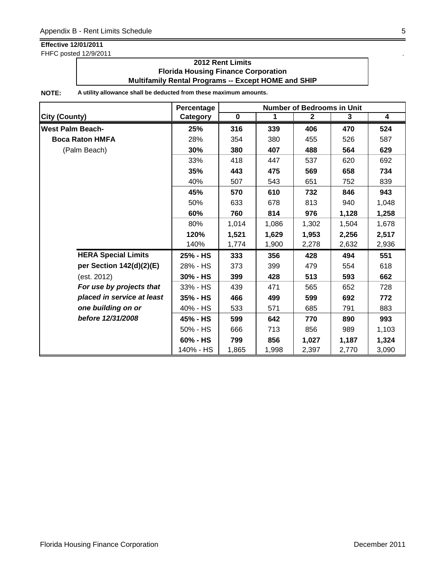FHFC posted 12/9/2011

### **2012 Rent Limits Florida Housing Finance Corporation Multifamily Rental Programs -- Except HOME and SHIP**

|                            | Percentage |             |       | Number of Bedrooms in Unit |       |                         |
|----------------------------|------------|-------------|-------|----------------------------|-------|-------------------------|
| <b>City (County)</b>       | Category   | $\mathbf 0$ | 1     | $\overline{2}$             | 3     | $\overline{\mathbf{4}}$ |
| <b>West Palm Beach-</b>    | 25%        | 316         | 339   | 406                        | 470   | 524                     |
| <b>Boca Raton HMFA</b>     | 28%        | 354         | 380   | 455                        | 526   | 587                     |
| (Palm Beach)               | 30%        | 380         | 407   | 488                        | 564   | 629                     |
|                            | 33%        | 418         | 447   | 537                        | 620   | 692                     |
|                            | 35%        | 443         | 475   | 569                        | 658   | 734                     |
|                            | 40%        | 507         | 543   | 651                        | 752   | 839                     |
|                            | 45%        | 570         | 610   | 732                        | 846   | 943                     |
|                            | 50%        | 633         | 678   | 813                        | 940   | 1,048                   |
|                            | 60%        | 760         | 814   | 976                        | 1,128 | 1,258                   |
|                            | 80%        | 1,014       | 1,086 | 1,302                      | 1,504 | 1,678                   |
|                            | 120%       | 1,521       | 1,629 | 1,953                      | 2,256 | 2,517                   |
|                            | 140%       | 1,774       | 1,900 | 2,278                      | 2,632 | 2,936                   |
| <b>HERA Special Limits</b> | 25% - HS   | 333         | 356   | 428                        | 494   | 551                     |
| per Section 142(d)(2)(E)   | 28% - HS   | 373         | 399   | 479                        | 554   | 618                     |
| (est. 2012)                | 30% - HS   | 399         | 428   | 513                        | 593   | 662                     |
| For use by projects that   | 33% - HS   | 439         | 471   | 565                        | 652   | 728                     |
| placed in service at least | 35% - HS   | 466         | 499   | 599                        | 692   | 772                     |
| one building on or         | 40% - HS   | 533         | 571   | 685                        | 791   | 883                     |
| before 12/31/2008          | 45% - HS   | 599         | 642   | 770                        | 890   | 993                     |
|                            | 50% - HS   | 666         | 713   | 856                        | 989   | 1,103                   |
|                            | 60% - HS   | 799         | 856   | 1,027                      | 1,187 | 1,324                   |
|                            | 140% - HS  | 1,865       | 1,998 | 2,397                      | 2,770 | 3,090                   |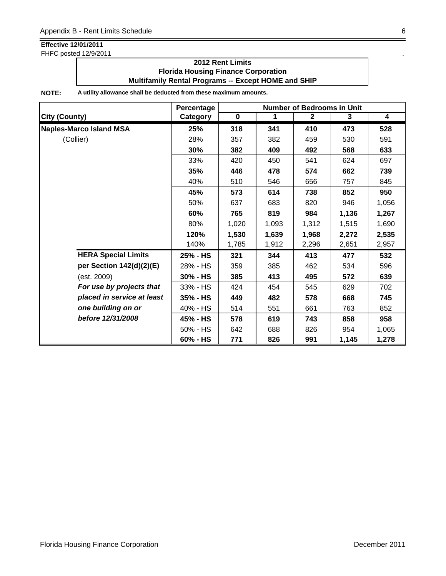FHFC posted 12/9/2011

### **2012 Rent Limits Florida Housing Finance Corporation Multifamily Rental Programs -- Except HOME and SHIP**

|                                | Percentage |           |       | <b>Number of Bedrooms in Unit</b> |       |                         |
|--------------------------------|------------|-----------|-------|-----------------------------------|-------|-------------------------|
| <b>City (County)</b>           | Category   | $\pmb{0}$ | 1     | $\mathbf{2}$                      | 3     | $\overline{\mathbf{4}}$ |
| <b>Naples-Marco Island MSA</b> | 25%        | 318       | 341   | 410                               | 473   | 528                     |
| (Collier)                      | 28%        | 357       | 382   | 459                               | 530   | 591                     |
|                                | 30%        | 382       | 409   | 492                               | 568   | 633                     |
|                                | 33%        | 420       | 450   | 541                               | 624   | 697                     |
|                                | 35%        | 446       | 478   | 574                               | 662   | 739                     |
|                                | 40%        | 510       | 546   | 656                               | 757   | 845                     |
|                                | 45%        | 573       | 614   | 738                               | 852   | 950                     |
|                                | 50%        | 637       | 683   | 820                               | 946   | 1,056                   |
|                                | 60%        | 765       | 819   | 984                               | 1,136 | 1,267                   |
|                                | 80%        | 1,020     | 1,093 | 1,312                             | 1,515 | 1,690                   |
|                                | 120%       | 1,530     | 1,639 | 1,968                             | 2,272 | 2,535                   |
|                                | 140%       | 1,785     | 1,912 | 2,296                             | 2,651 | 2,957                   |
| <b>HERA Special Limits</b>     | 25% - HS   | 321       | 344   | 413                               | 477   | 532                     |
| per Section 142(d)(2)(E)       | 28% - HS   | 359       | 385   | 462                               | 534   | 596                     |
| (est. 2009)                    | 30% - HS   | 385       | 413   | 495                               | 572   | 639                     |
| For use by projects that       | 33% - HS   | 424       | 454   | 545                               | 629   | 702                     |
| placed in service at least     | 35% - HS   | 449       | 482   | 578                               | 668   | 745                     |
| one building on or             | 40% - HS   | 514       | 551   | 661                               | 763   | 852                     |
| before 12/31/2008              | 45% - HS   | 578       | 619   | 743                               | 858   | 958                     |
|                                | 50% - HS   | 642       | 688   | 826                               | 954   | 1,065                   |
|                                | 60% - HS   | 771       | 826   | 991                               | 1,145 | 1,278                   |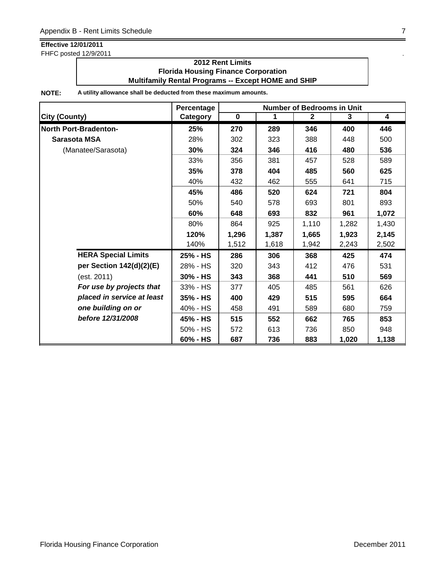FHFC posted 12/9/2011

### **2012 Rent Limits Florida Housing Finance Corporation Multifamily Rental Programs -- Except HOME and SHIP**

|                              | Percentage |           |       | <b>Number of Bedrooms in Unit</b> |       |                         |
|------------------------------|------------|-----------|-------|-----------------------------------|-------|-------------------------|
| <b>City (County)</b>         | Category   | $\pmb{0}$ | 1     | $\mathbf{2}$                      | 3     | $\overline{\mathbf{4}}$ |
| <b>North Port-Bradenton-</b> | 25%        | 270       | 289   | 346                               | 400   | 446                     |
| Sarasota MSA                 | 28%        | 302       | 323   | 388                               | 448   | 500                     |
| (Manatee/Sarasota)           | 30%        | 324       | 346   | 416                               | 480   | 536                     |
|                              | 33%        | 356       | 381   | 457                               | 528   | 589                     |
|                              | 35%        | 378       | 404   | 485                               | 560   | 625                     |
|                              | 40%        | 432       | 462   | 555                               | 641   | 715                     |
|                              | 45%        | 486       | 520   | 624                               | 721   | 804                     |
|                              | 50%        | 540       | 578   | 693                               | 801   | 893                     |
|                              | 60%        | 648       | 693   | 832                               | 961   | 1,072                   |
|                              | 80%        | 864       | 925   | 1,110                             | 1,282 | 1,430                   |
|                              | 120%       | 1,296     | 1,387 | 1,665                             | 1,923 | 2,145                   |
|                              | 140%       | 1,512     | 1,618 | 1,942                             | 2,243 | 2,502                   |
| <b>HERA Special Limits</b>   | 25% - HS   | 286       | 306   | 368                               | 425   | 474                     |
| per Section 142(d)(2)(E)     | 28% - HS   | 320       | 343   | 412                               | 476   | 531                     |
| (est. 2011)                  | 30% - HS   | 343       | 368   | 441                               | 510   | 569                     |
| For use by projects that     | 33% - HS   | 377       | 405   | 485                               | 561   | 626                     |
| placed in service at least   | 35% - HS   | 400       | 429   | 515                               | 595   | 664                     |
| one building on or           | 40% - HS   | 458       | 491   | 589                               | 680   | 759                     |
| before 12/31/2008            | 45% - HS   | 515       | 552   | 662                               | 765   | 853                     |
|                              | 50% - HS   | 572       | 613   | 736                               | 850   | 948                     |
|                              | 60% - HS   | 687       | 736   | 883                               | 1,020 | 1,138                   |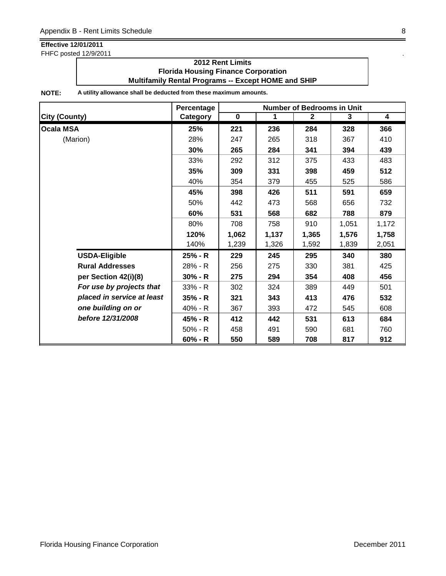FHFC posted 12/9/2011

### **2012 Rent Limits Florida Housing Finance Corporation Multifamily Rental Programs -- Except HOME and SHIP**

|                            | Percentage |             |       | <b>Number of Bedrooms in Unit</b> |       |                         |
|----------------------------|------------|-------------|-------|-----------------------------------|-------|-------------------------|
| <b>City (County)</b>       | Category   | $\mathbf 0$ | 1     | $\mathbf{2}$                      | 3     | $\overline{\mathbf{4}}$ |
| <b>Ocala MSA</b>           | 25%        | 221         | 236   | 284                               | 328   | 366                     |
| (Marion)                   | 28%        | 247         | 265   | 318                               | 367   | 410                     |
|                            | 30%        | 265         | 284   | 341                               | 394   | 439                     |
|                            | 33%        | 292         | 312   | 375                               | 433   | 483                     |
|                            | 35%        | 309         | 331   | 398                               | 459   | 512                     |
|                            | 40%        | 354         | 379   | 455                               | 525   | 586                     |
|                            | 45%        | 398         | 426   | 511                               | 591   | 659                     |
|                            | 50%        | 442         | 473   | 568                               | 656   | 732                     |
|                            | 60%        | 531         | 568   | 682                               | 788   | 879                     |
|                            | 80%        | 708         | 758   | 910                               | 1,051 | 1,172                   |
|                            | 120%       | 1,062       | 1,137 | 1,365                             | 1,576 | 1,758                   |
|                            | 140%       | 1,239       | 1,326 | 1,592                             | 1,839 | 2,051                   |
| <b>USDA-Eligible</b>       | 25% - R    | 229         | 245   | 295                               | 340   | 380                     |
| <b>Rural Addresses</b>     | 28% - R    | 256         | 275   | 330                               | 381   | 425                     |
| per Section 42(i)(8)       | $30% - R$  | 275         | 294   | 354                               | 408   | 456                     |
| For use by projects that   | $33% - R$  | 302         | 324   | 389                               | 449   | 501                     |
| placed in service at least | $35% - R$  | 321         | 343   | 413                               | 476   | 532                     |
| one building on or         | 40% - R    | 367         | 393   | 472                               | 545   | 608                     |
| before 12/31/2008          | 45% - R    | 412         | 442   | 531                               | 613   | 684                     |
|                            | $50% - R$  | 458         | 491   | 590                               | 681   | 760                     |
|                            | $60% - R$  | 550         | 589   | 708                               | 817   | 912                     |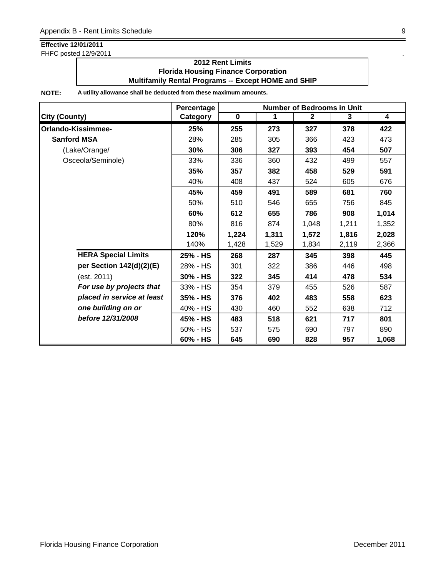FHFC posted 12/9/2011

### **2012 Rent Limits Florida Housing Finance Corporation Multifamily Rental Programs -- Except HOME and SHIP**

|                            | Percentage      |             | <b>Number of Bedrooms in Unit</b> |              |       |                         |  |  |
|----------------------------|-----------------|-------------|-----------------------------------|--------------|-------|-------------------------|--|--|
| <b>City (County)</b>       | <b>Category</b> | $\mathbf 0$ | 1                                 | $\mathbf{2}$ | 3     | $\overline{\mathbf{4}}$ |  |  |
| Orlando-Kissimmee-         | 25%             | 255         | 273                               | 327          | 378   | 422                     |  |  |
| <b>Sanford MSA</b>         | 28%             | 285         | 305                               | 366          | 423   | 473                     |  |  |
| (Lake/Orange/              | 30%             | 306         | 327                               | 393          | 454   | 507                     |  |  |
| Osceola/Seminole)          | 33%             | 336         | 360                               | 432          | 499   | 557                     |  |  |
|                            | 35%             | 357         | 382                               | 458          | 529   | 591                     |  |  |
|                            | 40%             | 408         | 437                               | 524          | 605   | 676                     |  |  |
|                            | 45%             | 459         | 491                               | 589          | 681   | 760                     |  |  |
|                            | 50%             | 510         | 546                               | 655          | 756   | 845                     |  |  |
|                            | 60%             | 612         | 655                               | 786          | 908   | 1,014                   |  |  |
|                            | 80%             | 816         | 874                               | 1,048        | 1,211 | 1,352                   |  |  |
|                            | 120%            | 1,224       | 1,311                             | 1,572        | 1,816 | 2,028                   |  |  |
|                            | 140%            | 1,428       | 1,529                             | 1,834        | 2,119 | 2,366                   |  |  |
| <b>HERA Special Limits</b> | 25% - HS        | 268         | 287                               | 345          | 398   | 445                     |  |  |
| per Section 142(d)(2)(E)   | 28% - HS        | 301         | 322                               | 386          | 446   | 498                     |  |  |
| (est. 2011)                | 30% - HS        | 322         | 345                               | 414          | 478   | 534                     |  |  |
| For use by projects that   | 33% - HS        | 354         | 379                               | 455          | 526   | 587                     |  |  |
| placed in service at least | 35% - HS        | 376         | 402                               | 483          | 558   | 623                     |  |  |
| one building on or         | 40% - HS        | 430         | 460                               | 552          | 638   | 712                     |  |  |
| before 12/31/2008          | 45% - HS        | 483         | 518                               | 621          | 717   | 801                     |  |  |
|                            | 50% - HS        | 537         | 575                               | 690          | 797   | 890                     |  |  |
|                            | 60% - HS        | 645         | 690                               | 828          | 957   | 1,068                   |  |  |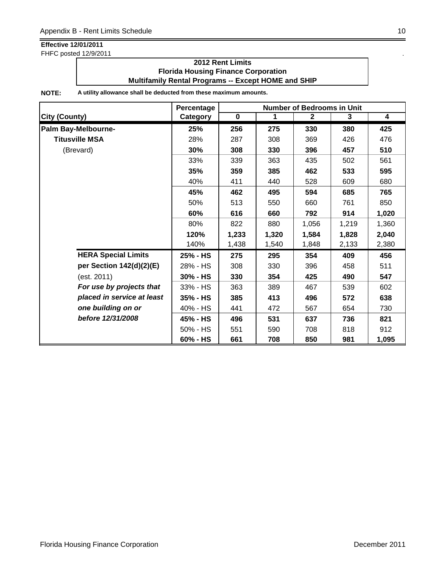FHFC posted 12/9/2011 .

### **2012 Rent Limits Florida Housing Finance Corporation Multifamily Rental Programs -- Except HOME and SHIP**

|                            | Percentage |             | <b>Number of Bedrooms in Unit</b> |              |       |       |  |
|----------------------------|------------|-------------|-----------------------------------|--------------|-------|-------|--|
| <b>City (County)</b>       | Category   | $\mathbf 0$ | 1                                 | $\mathbf{2}$ | 3     | 4     |  |
| Palm Bay-Melbourne-        | 25%        | 256         | 275                               | 330          | 380   | 425   |  |
| <b>Titusville MSA</b>      | 28%        | 287         | 308                               | 369          | 426   | 476   |  |
| (Brevard)                  | 30%        | 308         | 330                               | 396          | 457   | 510   |  |
|                            | 33%        | 339         | 363                               | 435          | 502   | 561   |  |
|                            | 35%        | 359         | 385                               | 462          | 533   | 595   |  |
|                            | 40%        | 411         | 440                               | 528          | 609   | 680   |  |
|                            | 45%        | 462         | 495                               | 594          | 685   | 765   |  |
|                            | 50%        | 513         | 550                               | 660          | 761   | 850   |  |
|                            | 60%        | 616         | 660                               | 792          | 914   | 1,020 |  |
|                            | 80%        | 822         | 880                               | 1,056        | 1,219 | 1,360 |  |
|                            | 120%       | 1,233       | 1,320                             | 1,584        | 1,828 | 2,040 |  |
|                            | 140%       | 1,438       | 1,540                             | 1,848        | 2,133 | 2,380 |  |
| <b>HERA Special Limits</b> | 25% - HS   | 275         | 295                               | 354          | 409   | 456   |  |
| per Section 142(d)(2)(E)   | 28% - HS   | 308         | 330                               | 396          | 458   | 511   |  |
| (est. 2011)                | 30% - HS   | 330         | 354                               | 425          | 490   | 547   |  |
| For use by projects that   | 33% - HS   | 363         | 389                               | 467          | 539   | 602   |  |
| placed in service at least | 35% - HS   | 385         | 413                               | 496          | 572   | 638   |  |
| one building on or         | 40% - HS   | 441         | 472                               | 567          | 654   | 730   |  |
| before 12/31/2008          | 45% - HS   | 496         | 531                               | 637          | 736   | 821   |  |
|                            | 50% - HS   | 551         | 590                               | 708          | 818   | 912   |  |
|                            | 60% - HS   | 661         | 708                               | 850          | 981   | 1,095 |  |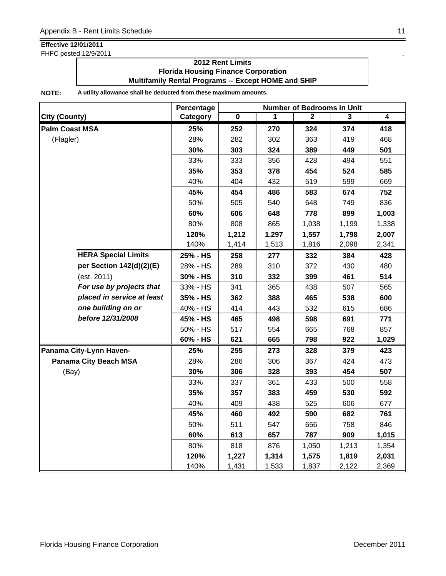FHFC posted 12/9/2011

### **2012 Rent Limits Florida Housing Finance Corporation Multifamily Rental Programs -- Except HOME and SHIP**

|                              | Percentage |       |       | <b>Number of Bedrooms in Unit</b> |       |       |
|------------------------------|------------|-------|-------|-----------------------------------|-------|-------|
| <b>City (County)</b>         | Category   | 0     | 1     | 2                                 | 3     | 4     |
| <b>Palm Coast MSA</b>        | 25%        | 252   | 270   | 324                               | 374   | 418   |
| (Flagler)                    | 28%        | 282   | 302   | 363                               | 419   | 468   |
|                              | 30%        | 303   | 324   | 389                               | 449   | 501   |
|                              | 33%        | 333   | 356   | 428                               | 494   | 551   |
|                              | 35%        | 353   | 378   | 454                               | 524   | 585   |
|                              | 40%        | 404   | 432   | 519                               | 599   | 669   |
|                              | 45%        | 454   | 486   | 583                               | 674   | 752   |
|                              | 50%        | 505   | 540   | 648                               | 749   | 836   |
|                              | 60%        | 606   | 648   | 778                               | 899   | 1,003 |
|                              | 80%        | 808   | 865   | 1,038                             | 1,199 | 1,338 |
|                              | 120%       | 1,212 | 1,297 | 1,557                             | 1,798 | 2,007 |
|                              | 140%       | 1,414 | 1,513 | 1,816                             | 2,098 | 2,341 |
| <b>HERA Special Limits</b>   | 25% - HS   | 258   | 277   | 332                               | 384   | 428   |
| per Section 142(d)(2)(E)     | 28% - HS   | 289   | 310   | 372                               | 430   | 480   |
| (est. 2011)                  | 30% - HS   | 310   | 332   | 399                               | 461   | 514   |
| For use by projects that     | 33% - HS   | 341   | 365   | 438                               | 507   | 565   |
| placed in service at least   | 35% - HS   | 362   | 388   | 465                               | 538   | 600   |
| one building on or           | 40% - HS   | 414   | 443   | 532                               | 615   | 686   |
| before 12/31/2008            | 45% - HS   | 465   | 498   | 598                               | 691   | 771   |
|                              | 50% - HS   | 517   | 554   | 665                               | 768   | 857   |
|                              | 60% - HS   | 621   | 665   | 798                               | 922   | 1,029 |
| Panama City-Lynn Haven-      | 25%        | 255   | 273   | 328                               | 379   | 423   |
| <b>Panama City Beach MSA</b> | 28%        | 286   | 306   | 367                               | 424   | 473   |
| (Bay)                        | 30%        | 306   | 328   | 393                               | 454   | 507   |
|                              | 33%        | 337   | 361   | 433                               | 500   | 558   |
|                              | 35%        | 357   | 383   | 459                               | 530   | 592   |
|                              | 40%        | 409   | 438   | 525                               | 606   | 677   |
|                              | 45%        | 460   | 492   | 590                               | 682   | 761   |
|                              | 50%        | 511   | 547   | 656                               | 758   | 846   |
|                              | 60%        | 613   | 657   | 787                               | 909   | 1,015 |
|                              | 80%        | 818   | 876   | 1,050                             | 1,213 | 1,354 |
|                              | 120%       | 1,227 | 1,314 | 1,575                             | 1,819 | 2,031 |
|                              | 140%       | 1,431 | 1,533 | 1,837                             | 2,122 | 2,369 |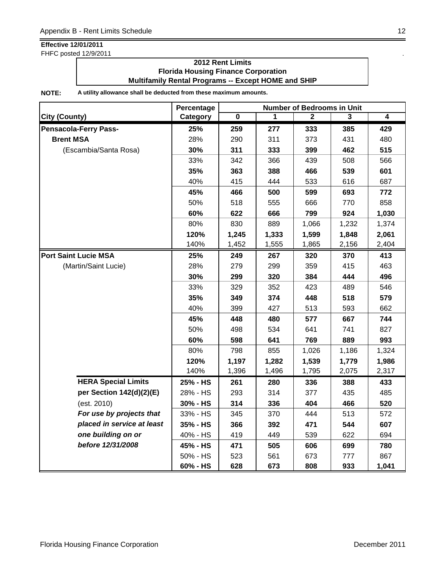FHFC posted 12/9/2011

### **2012 Rent Limits Florida Housing Finance Corporation Multifamily Rental Programs -- Except HOME and SHIP**

|                              | Percentage | Number of Bedrooms in Unit |       |              |                         |                |  |
|------------------------------|------------|----------------------------|-------|--------------|-------------------------|----------------|--|
| <b>City (County)</b>         | Category   | 0                          | 1     | $\mathbf{2}$ | $\overline{\mathbf{3}}$ | $\overline{4}$ |  |
| <b>Pensacola-Ferry Pass-</b> | 25%        | 259                        | 277   | 333          | 385                     | 429            |  |
| <b>Brent MSA</b>             | 28%        | 290                        | 311   | 373          | 431                     | 480            |  |
| (Escambia/Santa Rosa)        | 30%        | 311                        | 333   | 399          | 462                     | 515            |  |
|                              | 33%        | 342                        | 366   | 439          | 508                     | 566            |  |
|                              | 35%        | 363                        | 388   | 466          | 539                     | 601            |  |
|                              | 40%        | 415                        | 444   | 533          | 616                     | 687            |  |
|                              | 45%        | 466                        | 500   | 599          | 693                     | 772            |  |
|                              | 50%        | 518                        | 555   | 666          | 770                     | 858            |  |
|                              | 60%        | 622                        | 666   | 799          | 924                     | 1,030          |  |
|                              | 80%        | 830                        | 889   | 1,066        | 1,232                   | 1,374          |  |
|                              | 120%       | 1,245                      | 1,333 | 1,599        | 1,848                   | 2,061          |  |
|                              | 140%       | 1,452                      | 1,555 | 1,865        | 2,156                   | 2,404          |  |
| <b>Port Saint Lucie MSA</b>  | 25%        | 249                        | 267   | 320          | 370                     | 413            |  |
| (Martin/Saint Lucie)         | 28%        | 279                        | 299   | 359          | 415                     | 463            |  |
|                              | 30%        | 299                        | 320   | 384          | 444                     | 496            |  |
|                              | 33%        | 329                        | 352   | 423          | 489                     | 546            |  |
|                              | 35%        | 349                        | 374   | 448          | 518                     | 579            |  |
|                              | 40%        | 399                        | 427   | 513          | 593                     | 662            |  |
|                              | 45%        | 448                        | 480   | 577          | 667                     | 744            |  |
|                              | 50%        | 498                        | 534   | 641          | 741                     | 827            |  |
|                              | 60%        | 598                        | 641   | 769          | 889                     | 993            |  |
|                              | 80%        | 798                        | 855   | 1,026        | 1,186                   | 1,324          |  |
|                              | 120%       | 1,197                      | 1,282 | 1,539        | 1,779                   | 1,986          |  |
|                              | 140%       | 1,396                      | 1,496 | 1,795        | 2,075                   | 2,317          |  |
| <b>HERA Special Limits</b>   | 25% - HS   | 261                        | 280   | 336          | 388                     | 433            |  |
| per Section 142(d)(2)(E)     | 28% - HS   | 293                        | 314   | 377          | 435                     | 485            |  |
| (est. 2010)                  | 30% - HS   | 314                        | 336   | 404          | 466                     | 520            |  |
| For use by projects that     | 33% - HS   | 345                        | 370   | 444          | 513                     | 572            |  |
| placed in service at least   | 35% - HS   | 366                        | 392   | 471          | 544                     | 607            |  |
| one building on or           | 40% - HS   | 419                        | 449   | 539          | 622                     | 694            |  |
| before 12/31/2008            | 45% - HS   | 471                        | 505   | 606          | 699                     | 780            |  |
|                              | 50% - HS   | 523                        | 561   | 673          | 777                     | 867            |  |
|                              | 60% - HS   | 628                        | 673   | 808          | 933                     | 1,041          |  |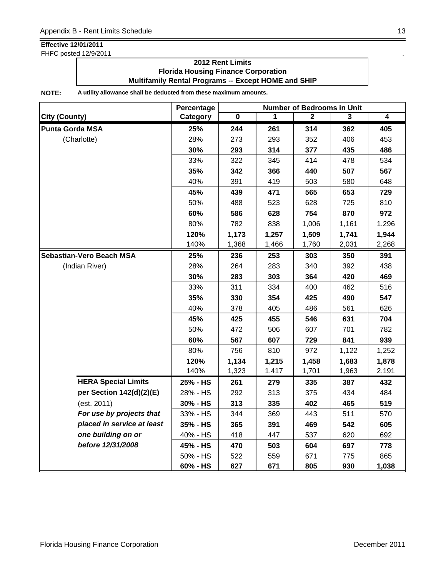FHFC posted 12/9/2011 .

### **2012 Rent Limits Florida Housing Finance Corporation Multifamily Rental Programs -- Except HOME and SHIP**

|                                 | Percentage | <b>Number of Bedrooms in Unit</b> |       |       |       |                |  |
|---------------------------------|------------|-----------------------------------|-------|-------|-------|----------------|--|
| <b>City (County)</b>            | Category   | $\overline{\mathbf{0}}$           | 1     | 2     | 3     | $\overline{4}$ |  |
| <b>Punta Gorda MSA</b>          | 25%        | 244                               | 261   | 314   | 362   | 405            |  |
| (Charlotte)                     | 28%        | 273                               | 293   | 352   | 406   | 453            |  |
|                                 | 30%        | 293                               | 314   | 377   | 435   | 486            |  |
|                                 | 33%        | 322                               | 345   | 414   | 478   | 534            |  |
|                                 | 35%        | 342                               | 366   | 440   | 507   | 567            |  |
|                                 | 40%        | 391                               | 419   | 503   | 580   | 648            |  |
|                                 | 45%        | 439                               | 471   | 565   | 653   | 729            |  |
|                                 | 50%        | 488                               | 523   | 628   | 725   | 810            |  |
|                                 | 60%        | 586                               | 628   | 754   | 870   | 972            |  |
|                                 | 80%        | 782                               | 838   | 1,006 | 1,161 | 1,296          |  |
|                                 | 120%       | 1,173                             | 1,257 | 1,509 | 1,741 | 1,944          |  |
|                                 | 140%       | 1,368                             | 1,466 | 1,760 | 2,031 | 2,268          |  |
| <b>Sebastian-Vero Beach MSA</b> | 25%        | 236                               | 253   | 303   | 350   | 391            |  |
| (Indian River)                  | 28%        | 264                               | 283   | 340   | 392   | 438            |  |
|                                 | 30%        | 283                               | 303   | 364   | 420   | 469            |  |
|                                 | 33%        | 311                               | 334   | 400   | 462   | 516            |  |
|                                 | 35%        | 330                               | 354   | 425   | 490   | 547            |  |
|                                 | 40%        | 378                               | 405   | 486   | 561   | 626            |  |
|                                 | 45%        | 425                               | 455   | 546   | 631   | 704            |  |
|                                 | 50%        | 472                               | 506   | 607   | 701   | 782            |  |
|                                 | 60%        | 567                               | 607   | 729   | 841   | 939            |  |
|                                 | 80%        | 756                               | 810   | 972   | 1,122 | 1,252          |  |
|                                 | 120%       | 1,134                             | 1,215 | 1,458 | 1,683 | 1,878          |  |
|                                 | 140%       | 1,323                             | 1,417 | 1,701 | 1,963 | 2,191          |  |
| <b>HERA Special Limits</b>      | 25% - HS   | 261                               | 279   | 335   | 387   | 432            |  |
| per Section 142(d)(2)(E)        | 28% - HS   | 292                               | 313   | 375   | 434   | 484            |  |
| (est. 2011)                     | 30% - HS   | 313                               | 335   | 402   | 465   | 519            |  |
| For use by projects that        | 33% - HS   | 344                               | 369   | 443   | 511   | 570            |  |
| placed in service at least      | 35% - HS   | 365                               | 391   | 469   | 542   | 605            |  |
| one building on or              | 40% - HS   | 418                               | 447   | 537   | 620   | 692            |  |
| before 12/31/2008               | 45% - HS   | 470                               | 503   | 604   | 697   | 778            |  |
|                                 | 50% - HS   | 522                               | 559   | 671   | 775   | 865            |  |
|                                 | 60% - HS   | 627                               | 671   | 805   | 930   | 1,038          |  |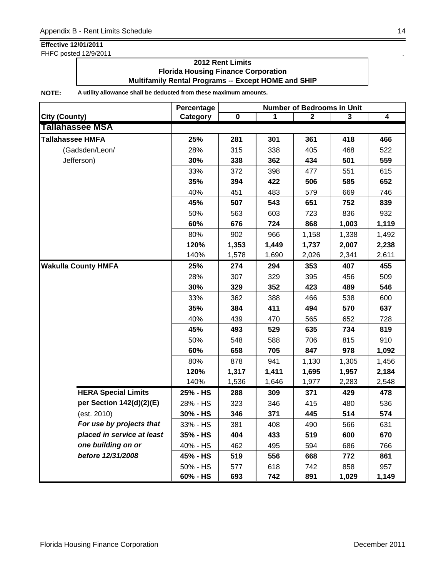FHFC posted 12/9/2011 .

### **2012 Rent Limits Florida Housing Finance Corporation Multifamily Rental Programs -- Except HOME and SHIP**

|                            | Percentage | <b>Number of Bedrooms in Unit</b> |       |              |       |                |  |
|----------------------------|------------|-----------------------------------|-------|--------------|-------|----------------|--|
| <b>City (County)</b>       | Category   | $\pmb{0}$                         | 1     | $\mathbf{2}$ | 3     | $\overline{4}$ |  |
| <b>Tallahassee MSA</b>     |            |                                   |       |              |       |                |  |
| <b>Tallahassee HMFA</b>    | 25%        | 281                               | 301   | 361          | 418   | 466            |  |
| (Gadsden/Leon/             | 28%        | 315                               | 338   | 405          | 468   | 522            |  |
| Jefferson)                 | 30%        | 338                               | 362   | 434          | 501   | 559            |  |
|                            | 33%        | 372                               | 398   | 477          | 551   | 615            |  |
|                            | 35%        | 394                               | 422   | 506          | 585   | 652            |  |
|                            | 40%        | 451                               | 483   | 579          | 669   | 746            |  |
|                            | 45%        | 507                               | 543   | 651          | 752   | 839            |  |
|                            | 50%        | 563                               | 603   | 723          | 836   | 932            |  |
|                            | 60%        | 676                               | 724   | 868          | 1,003 | 1,119          |  |
|                            | 80%        | 902                               | 966   | 1,158        | 1,338 | 1,492          |  |
|                            | 120%       | 1,353                             | 1,449 | 1,737        | 2,007 | 2,238          |  |
|                            | 140%       | 1,578                             | 1,690 | 2,026        | 2,341 | 2,611          |  |
| <b>Wakulla County HMFA</b> | 25%        | 274                               | 294   | 353          | 407   | 455            |  |
|                            | 28%        | 307                               | 329   | 395          | 456   | 509            |  |
|                            | 30%        | 329                               | 352   | 423          | 489   | 546            |  |
|                            | 33%        | 362                               | 388   | 466          | 538   | 600            |  |
|                            | 35%        | 384                               | 411   | 494          | 570   | 637            |  |
|                            | 40%        | 439                               | 470   | 565          | 652   | 728            |  |
|                            | 45%        | 493                               | 529   | 635          | 734   | 819            |  |
|                            | 50%        | 548                               | 588   | 706          | 815   | 910            |  |
|                            | 60%        | 658                               | 705   | 847          | 978   | 1,092          |  |
|                            | 80%        | 878                               | 941   | 1,130        | 1,305 | 1,456          |  |
|                            | 120%       | 1,317                             | 1,411 | 1,695        | 1,957 | 2,184          |  |
|                            | 140%       | 1,536                             | 1,646 | 1,977        | 2,283 | 2,548          |  |
| <b>HERA Special Limits</b> | 25% - HS   | 288                               | 309   | 371          | 429   | 478            |  |
| per Section 142(d)(2)(E)   | 28% - HS   | 323                               | 346   | 415          | 480   | 536            |  |
| (est. 2010)                | 30% - HS   | 346                               | 371   | 445          | 514   | 574            |  |
| For use by projects that   | 33% - HS   | 381                               | 408   | 490          | 566   | 631            |  |
| placed in service at least | 35% - HS   | 404                               | 433   | 519          | 600   | 670            |  |
| one building on or         | 40% - HS   | 462                               | 495   | 594          | 686   | 766            |  |
| before 12/31/2008          | 45% - HS   | 519                               | 556   | 668          | 772   | 861            |  |
|                            | 50% - HS   | 577                               | 618   | 742          | 858   | 957            |  |
|                            | 60% - HS   | 693                               | 742   | 891          | 1,029 | 1,149          |  |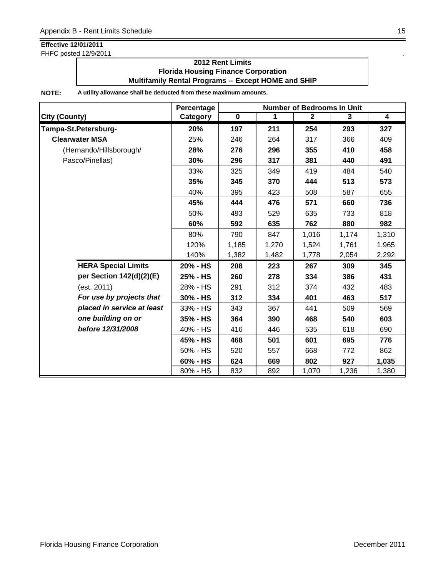FHFC posted 12/9/2011 .

### **2012 Rent Limits Florida Housing Finance Corporation Multifamily Rental Programs -- Except HOME and SHIP**

|                            | Percentage |             |             | <b>Number of Bedrooms in Unit</b> |       |                         |
|----------------------------|------------|-------------|-------------|-----------------------------------|-------|-------------------------|
| <b>City (County)</b>       | Category   | $\mathbf 0$ | $\mathbf 1$ | $\mathbf{2}$                      | 3     | $\overline{\mathbf{4}}$ |
| Tampa-St.Petersburg-       | 20%        | 197         | 211         | 254                               | 293   | 327                     |
| <b>Clearwater MSA</b>      | 25%        | 246         | 264         | 317                               | 366   | 409                     |
| (Hernando/Hillsborough/    | 28%        | 276         | 296         | 355                               | 410   | 458                     |
| Pasco/Pinellas)            | 30%        | 296         | 317         | 381                               | 440   | 491                     |
|                            | 33%        | 325         | 349         | 419                               | 484   | 540                     |
|                            | 35%        | 345         | 370         | 444                               | 513   | 573                     |
|                            | 40%        | 395         | 423         | 508                               | 587   | 655                     |
|                            | 45%        | 444         | 476         | 571                               | 660   | 736                     |
|                            | 50%        | 493         | 529         | 635                               | 733   | 818                     |
|                            | 60%        | 592         | 635         | 762                               | 880   | 982                     |
|                            | 80%        | 790         | 847         | 1,016                             | 1,174 | 1,310                   |
|                            | 120%       | 1,185       | 1,270       | 1,524                             | 1,761 | 1,965                   |
|                            | 140%       | 1,382       | 1,482       | 1,778                             | 2,054 | 2,292                   |
| <b>HERA Special Limits</b> | 20% - HS   | 208         | 223         | 267                               | 309   | 345                     |
| per Section 142(d)(2)(E)   | 25% - HS   | 260         | 278         | 334                               | 386   | 431                     |
| (est. 2011)                | 28% - HS   | 291         | 312         | 374                               | 432   | 483                     |
| For use by projects that   | 30% - HS   | 312         | 334         | 401                               | 463   | 517                     |
| placed in service at least | 33% - HS   | 343         | 367         | 441                               | 509   | 569                     |
| one building on or         | 35% - HS   | 364         | 390         | 468                               | 540   | 603                     |
| before 12/31/2008          | 40% - HS   | 416         | 446         | 535                               | 618   | 690                     |
|                            | 45% - HS   | 468         | 501         | 601                               | 695   | 776                     |
|                            | 50% - HS   | 520         | 557         | 668                               | 772   | 862                     |
|                            | 60% - HS   | 624         | 669         | 802                               | 927   | 1,035                   |
|                            | 80% - HS   | 832         | 892         | 1,070                             | 1,236 | 1,380                   |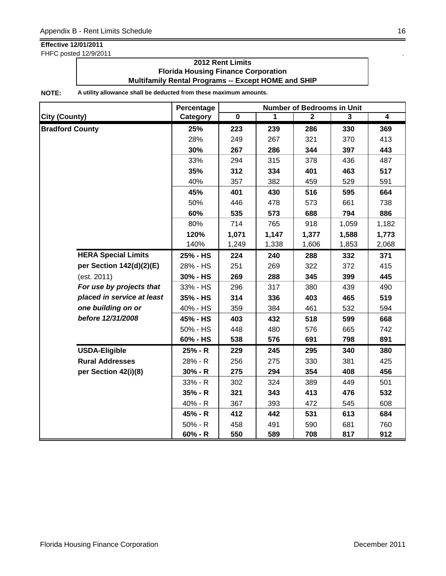FHFC posted 12/9/2011 .

### **2012 Rent Limits Florida Housing Finance Corporation Multifamily Rental Programs -- Except HOME and SHIP**

|                            | Percentage | <b>Number of Bedrooms in Unit</b> |       |              |                |                |  |
|----------------------------|------------|-----------------------------------|-------|--------------|----------------|----------------|--|
| <b>City (County)</b>       | Category   | $\overline{\mathbf{0}}$           | 1     | $\mathbf{2}$ | $\overline{3}$ | $\overline{4}$ |  |
| <b>Bradford County</b>     | 25%        | 223                               | 239   | 286          | 330            | 369            |  |
|                            | 28%        | 249                               | 267   | 321          | 370            | 413            |  |
|                            | 30%        | 267                               | 286   | 344          | 397            | 443            |  |
|                            | 33%        | 294                               | 315   | 378          | 436            | 487            |  |
|                            | 35%        | 312                               | 334   | 401          | 463            | 517            |  |
|                            | 40%        | 357                               | 382   | 459          | 529            | 591            |  |
|                            | 45%        | 401                               | 430   | 516          | 595            | 664            |  |
|                            | 50%        | 446                               | 478   | 573          | 661            | 738            |  |
|                            | 60%        | 535                               | 573   | 688          | 794            | 886            |  |
|                            | 80%        | 714                               | 765   | 918          | 1,059          | 1,182          |  |
|                            | 120%       | 1,071                             | 1,147 | 1,377        | 1,588          | 1,773          |  |
|                            | 140%       | 1,249                             | 1,338 | 1,606        | 1,853          | 2,068          |  |
| <b>HERA Special Limits</b> | 25% - HS   | 224                               | 240   | 288          | 332            | 371            |  |
| per Section 142(d)(2)(E)   | 28% - HS   | 251                               | 269   | 322          | 372            | 415            |  |
| (est. 2011)                | 30% - HS   | 269                               | 288   | 345          | 399            | 445            |  |
| For use by projects that   | 33% - HS   | 296                               | 317   | 380          | 439            | 490            |  |
| placed in service at least | 35% - HS   | 314                               | 336   | 403          | 465            | 519            |  |
| one building on or         | 40% - HS   | 359                               | 384   | 461          | 532            | 594            |  |
| before 12/31/2008          | 45% - HS   | 403                               | 432   | 518          | 599            | 668            |  |
|                            | 50% - HS   | 448                               | 480   | 576          | 665            | 742            |  |
|                            | 60% - HS   | 538                               | 576   | 691          | 798            | 891            |  |
| <b>USDA-Eligible</b>       | 25% - R    | 229                               | 245   | 295          | 340            | 380            |  |
| <b>Rural Addresses</b>     | 28% - R    | 256                               | 275   | 330          | 381            | 425            |  |
| per Section 42(i)(8)       | $30% - R$  | 275                               | 294   | 354          | 408            | 456            |  |
|                            | 33% - R    | 302                               | 324   | 389          | 449            | 501            |  |
|                            | $35% - R$  | 321                               | 343   | 413          | 476            | 532            |  |
|                            | 40% - R    | 367                               | 393   | 472          | 545            | 608            |  |
|                            | 45% - R    | 412                               | 442   | 531          | 613            | 684            |  |
|                            | $50% - R$  | 458                               | 491   | 590          | 681            | 760            |  |
|                            | $60% - R$  | 550                               | 589   | 708          | 817            | 912            |  |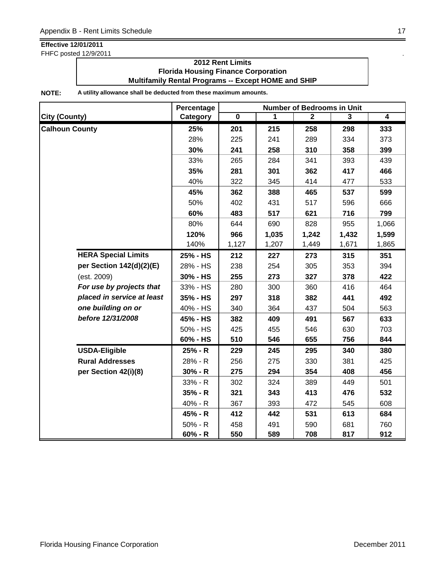FHFC posted 12/9/2011 .

### **2012 Rent Limits Florida Housing Finance Corporation Multifamily Rental Programs -- Except HOME and SHIP**

|                            | Percentage | <b>Number of Bedrooms in Unit</b> |       |              |       |                         |  |
|----------------------------|------------|-----------------------------------|-------|--------------|-------|-------------------------|--|
| <b>City (County)</b>       | Category   | $\overline{\mathbf{0}}$           | 1     | $\mathbf{2}$ | 3     | $\overline{\mathbf{4}}$ |  |
| <b>Calhoun County</b>      | 25%        | 201                               | 215   | 258          | 298   | 333                     |  |
|                            | 28%        | 225                               | 241   | 289          | 334   | 373                     |  |
|                            | 30%        | 241                               | 258   | 310          | 358   | 399                     |  |
|                            | 33%        | 265                               | 284   | 341          | 393   | 439                     |  |
|                            | 35%        | 281                               | 301   | 362          | 417   | 466                     |  |
|                            | 40%        | 322                               | 345   | 414          | 477   | 533                     |  |
|                            | 45%        | 362                               | 388   | 465          | 537   | 599                     |  |
|                            | 50%        | 402                               | 431   | 517          | 596   | 666                     |  |
|                            | 60%        | 483                               | 517   | 621          | 716   | 799                     |  |
|                            | 80%        | 644                               | 690   | 828          | 955   | 1,066                   |  |
|                            | 120%       | 966                               | 1,035 | 1,242        | 1,432 | 1,599                   |  |
|                            | 140%       | 1,127                             | 1,207 | 1,449        | 1,671 | 1,865                   |  |
| <b>HERA Special Limits</b> | 25% - HS   | 212                               | 227   | 273          | 315   | 351                     |  |
| per Section 142(d)(2)(E)   | 28% - HS   | 238                               | 254   | 305          | 353   | 394                     |  |
| (est. 2009)                | 30% - HS   | 255                               | 273   | 327          | 378   | 422                     |  |
| For use by projects that   | 33% - HS   | 280                               | 300   | 360          | 416   | 464                     |  |
| placed in service at least | 35% - HS   | 297                               | 318   | 382          | 441   | 492                     |  |
| one building on or         | 40% - HS   | 340                               | 364   | 437          | 504   | 563                     |  |
| before 12/31/2008          | 45% - HS   | 382                               | 409   | 491          | 567   | 633                     |  |
|                            | 50% - HS   | 425                               | 455   | 546          | 630   | 703                     |  |
|                            | 60% - HS   | 510                               | 546   | 655          | 756   | 844                     |  |
| <b>USDA-Eligible</b>       | 25% - R    | 229                               | 245   | 295          | 340   | 380                     |  |
| <b>Rural Addresses</b>     | 28% - R    | 256                               | 275   | 330          | 381   | 425                     |  |
| per Section 42(i)(8)       | $30% - R$  | 275                               | 294   | 354          | 408   | 456                     |  |
|                            | 33% - R    | 302                               | 324   | 389          | 449   | 501                     |  |
|                            | 35% - R    | 321                               | 343   | 413          | 476   | 532                     |  |
|                            | 40% - R    | 367                               | 393   | 472          | 545   | 608                     |  |
|                            | 45% - R    | 412                               | 442   | 531          | 613   | 684                     |  |
|                            | $50% - R$  | 458                               | 491   | 590          | 681   | 760                     |  |
|                            | $60% - R$  | 550                               | 589   | 708          | 817   | 912                     |  |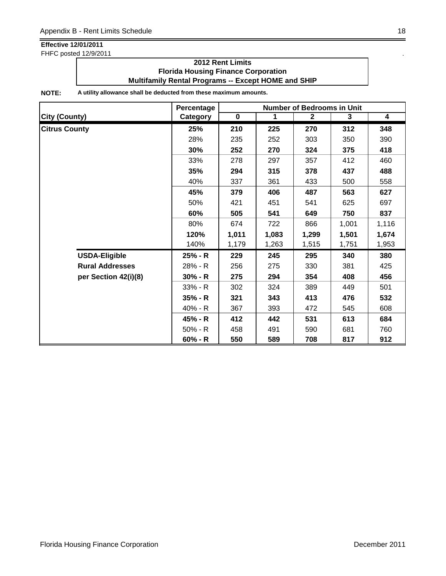FHFC posted 12/9/2011 .

### **2012 Rent Limits Florida Housing Finance Corporation Multifamily Rental Programs -- Except HOME and SHIP**

|                        | <b>Number of Bedrooms in Unit</b><br>Percentage |             |             |              |       |                         |
|------------------------|-------------------------------------------------|-------------|-------------|--------------|-------|-------------------------|
| <b>City (County)</b>   | Category                                        | $\mathbf 0$ | $\mathbf 1$ | $\mathbf{2}$ | 3     | $\overline{\mathbf{4}}$ |
| <b>Citrus County</b>   | 25%                                             | 210         | 225         | 270          | 312   | 348                     |
|                        | 28%                                             | 235         | 252         | 303          | 350   | 390                     |
|                        | 30%                                             | 252         | 270         | 324          | 375   | 418                     |
|                        | 33%                                             | 278         | 297         | 357          | 412   | 460                     |
|                        | 35%                                             | 294         | 315         | 378          | 437   | 488                     |
|                        | 40%                                             | 337         | 361         | 433          | 500   | 558                     |
|                        | 45%                                             | 379         | 406         | 487          | 563   | 627                     |
|                        | 50%                                             | 421         | 451         | 541          | 625   | 697                     |
|                        | 60%                                             | 505         | 541         | 649          | 750   | 837                     |
|                        | 80%                                             | 674         | 722         | 866          | 1,001 | 1,116                   |
|                        | 120%                                            | 1,011       | 1,083       | 1,299        | 1,501 | 1,674                   |
|                        | 140%                                            | 1,179       | 1,263       | 1,515        | 1,751 | 1,953                   |
| <b>USDA-Eligible</b>   | 25% - R                                         | 229         | 245         | 295          | 340   | 380                     |
| <b>Rural Addresses</b> | 28% - R                                         | 256         | 275         | 330          | 381   | 425                     |
| per Section 42(i)(8)   | $30% - R$                                       | 275         | 294         | 354          | 408   | 456                     |
|                        | $33% - R$                                       | 302         | 324         | 389          | 449   | 501                     |
|                        | $35% - R$                                       | 321         | 343         | 413          | 476   | 532                     |
|                        | 40% - R                                         | 367         | 393         | 472          | 545   | 608                     |
|                        | 45% - R                                         | 412         | 442         | 531          | 613   | 684                     |
|                        | $50\% - R$                                      | 458         | 491         | 590          | 681   | 760                     |
|                        | $60% - R$                                       | 550         | 589         | 708          | 817   | 912                     |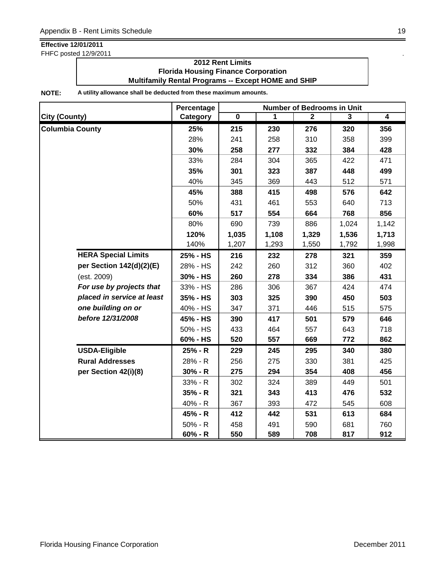FHFC posted 12/9/2011

### **2012 Rent Limits Florida Housing Finance Corporation Multifamily Rental Programs -- Except HOME and SHIP**

|                            | Percentage | <b>Number of Bedrooms in Unit</b> |       |              |                |                |  |
|----------------------------|------------|-----------------------------------|-------|--------------|----------------|----------------|--|
| <b>City (County)</b>       | Category   | $\overline{\mathbf{0}}$           | 1     | $\mathbf{2}$ | $\overline{3}$ | $\overline{4}$ |  |
| <b>Columbia County</b>     | 25%        | 215                               | 230   | 276          | 320            | 356            |  |
|                            | 28%        | 241                               | 258   | 310          | 358            | 399            |  |
|                            | 30%        | 258                               | 277   | 332          | 384            | 428            |  |
|                            | 33%        | 284                               | 304   | 365          | 422            | 471            |  |
|                            | 35%        | 301                               | 323   | 387          | 448            | 499            |  |
|                            | 40%        | 345                               | 369   | 443          | 512            | 571            |  |
|                            | 45%        | 388                               | 415   | 498          | 576            | 642            |  |
|                            | 50%        | 431                               | 461   | 553          | 640            | 713            |  |
|                            | 60%        | 517                               | 554   | 664          | 768            | 856            |  |
|                            | 80%        | 690                               | 739   | 886          | 1,024          | 1,142          |  |
|                            | 120%       | 1,035                             | 1,108 | 1,329        | 1,536          | 1,713          |  |
|                            | 140%       | 1,207                             | 1,293 | 1,550        | 1,792          | 1,998          |  |
| <b>HERA Special Limits</b> | 25% - HS   | 216                               | 232   | 278          | 321            | 359            |  |
| per Section 142(d)(2)(E)   | 28% - HS   | 242                               | 260   | 312          | 360            | 402            |  |
| (est. 2009)                | 30% - HS   | 260                               | 278   | 334          | 386            | 431            |  |
| For use by projects that   | 33% - HS   | 286                               | 306   | 367          | 424            | 474            |  |
| placed in service at least | 35% - HS   | 303                               | 325   | 390          | 450            | 503            |  |
| one building on or         | 40% - HS   | 347                               | 371   | 446          | 515            | 575            |  |
| before 12/31/2008          | 45% - HS   | 390                               | 417   | 501          | 579            | 646            |  |
|                            | 50% - HS   | 433                               | 464   | 557          | 643            | 718            |  |
|                            | 60% - HS   | 520                               | 557   | 669          | 772            | 862            |  |
| <b>USDA-Eligible</b>       | 25% - R    | 229                               | 245   | 295          | 340            | 380            |  |
| <b>Rural Addresses</b>     | 28% - R    | 256                               | 275   | 330          | 381            | 425            |  |
| per Section 42(i)(8)       | $30% - R$  | 275                               | 294   | 354          | 408            | 456            |  |
|                            | 33% - R    | 302                               | 324   | 389          | 449            | 501            |  |
|                            | $35% - R$  | 321                               | 343   | 413          | 476            | 532            |  |
|                            | 40% - R    | 367                               | 393   | 472          | 545            | 608            |  |
|                            | 45% - R    | 412                               | 442   | 531          | 613            | 684            |  |
|                            | $50% - R$  | 458                               | 491   | 590          | 681            | 760            |  |
|                            | 60% - R    | 550                               | 589   | 708          | 817            | 912            |  |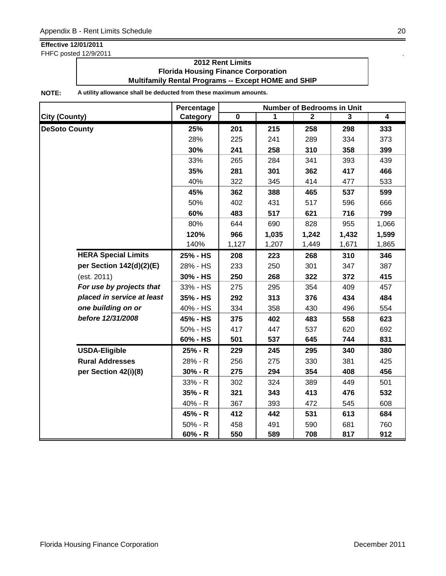FHFC posted 12/9/2011 .

### **2012 Rent Limits Florida Housing Finance Corporation Multifamily Rental Programs -- Except HOME and SHIP**

|                            | Percentage | <b>Number of Bedrooms in Unit</b> |       |              |       |                |  |
|----------------------------|------------|-----------------------------------|-------|--------------|-------|----------------|--|
| <b>City (County)</b>       | Category   | $\overline{\mathbf{0}}$           | 1     | $\mathbf{2}$ | 3     | $\overline{4}$ |  |
| <b>DeSoto County</b>       | 25%        | 201                               | 215   | 258          | 298   | 333            |  |
|                            | 28%        | 225                               | 241   | 289          | 334   | 373            |  |
|                            | 30%        | 241                               | 258   | 310          | 358   | 399            |  |
|                            | 33%        | 265                               | 284   | 341          | 393   | 439            |  |
|                            | 35%        | 281                               | 301   | 362          | 417   | 466            |  |
|                            | 40%        | 322                               | 345   | 414          | 477   | 533            |  |
|                            | 45%        | 362                               | 388   | 465          | 537   | 599            |  |
|                            | 50%        | 402                               | 431   | 517          | 596   | 666            |  |
|                            | 60%        | 483                               | 517   | 621          | 716   | 799            |  |
|                            | 80%        | 644                               | 690   | 828          | 955   | 1,066          |  |
|                            | 120%       | 966                               | 1,035 | 1,242        | 1,432 | 1,599          |  |
|                            | 140%       | 1,127                             | 1,207 | 1,449        | 1,671 | 1,865          |  |
| <b>HERA Special Limits</b> | 25% - HS   | 208                               | 223   | 268          | 310   | 346            |  |
| per Section 142(d)(2)(E)   | 28% - HS   | 233                               | 250   | 301          | 347   | 387            |  |
| (est. 2011)                | 30% - HS   | 250                               | 268   | 322          | 372   | 415            |  |
| For use by projects that   | 33% - HS   | 275                               | 295   | 354          | 409   | 457            |  |
| placed in service at least | 35% - HS   | 292                               | 313   | 376          | 434   | 484            |  |
| one building on or         | 40% - HS   | 334                               | 358   | 430          | 496   | 554            |  |
| before 12/31/2008          | 45% - HS   | 375                               | 402   | 483          | 558   | 623            |  |
|                            | 50% - HS   | 417                               | 447   | 537          | 620   | 692            |  |
|                            | 60% - HS   | 501                               | 537   | 645          | 744   | 831            |  |
| <b>USDA-Eligible</b>       | 25% - R    | 229                               | 245   | 295          | 340   | 380            |  |
| <b>Rural Addresses</b>     | 28% - R    | 256                               | 275   | 330          | 381   | 425            |  |
| per Section 42(i)(8)       | $30% - R$  | 275                               | 294   | 354          | 408   | 456            |  |
|                            | 33% - R    | 302                               | 324   | 389          | 449   | 501            |  |
|                            | 35% - R    | 321                               | 343   | 413          | 476   | 532            |  |
|                            | 40% - R    | 367                               | 393   | 472          | 545   | 608            |  |
|                            | 45% - R    | 412                               | 442   | 531          | 613   | 684            |  |
|                            | $50% - R$  | 458                               | 491   | 590          | 681   | 760            |  |
|                            | $60% - R$  | 550                               | 589   | 708          | 817   | 912            |  |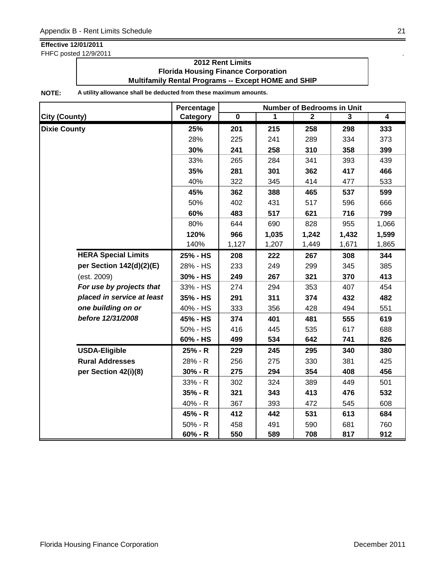FHFC posted 12/9/2011

### **2012 Rent Limits Florida Housing Finance Corporation Multifamily Rental Programs -- Except HOME and SHIP**

|                            | Percentage | <b>Number of Bedrooms in Unit</b> |       |                |       |                         |  |
|----------------------------|------------|-----------------------------------|-------|----------------|-------|-------------------------|--|
| <b>City (County)</b>       | Category   | $\overline{\mathbf{0}}$           | 1     | $\overline{2}$ | 3     | $\overline{\mathbf{4}}$ |  |
| <b>Dixie County</b>        | 25%        | 201                               | 215   | 258            | 298   | 333                     |  |
|                            | 28%        | 225                               | 241   | 289            | 334   | 373                     |  |
|                            | 30%        | 241                               | 258   | 310            | 358   | 399                     |  |
|                            | 33%        | 265                               | 284   | 341            | 393   | 439                     |  |
|                            | 35%        | 281                               | 301   | 362            | 417   | 466                     |  |
|                            | 40%        | 322                               | 345   | 414            | 477   | 533                     |  |
|                            | 45%        | 362                               | 388   | 465            | 537   | 599                     |  |
|                            | 50%        | 402                               | 431   | 517            | 596   | 666                     |  |
|                            | 60%        | 483                               | 517   | 621            | 716   | 799                     |  |
|                            | 80%        | 644                               | 690   | 828            | 955   | 1,066                   |  |
|                            | 120%       | 966                               | 1,035 | 1,242          | 1,432 | 1,599                   |  |
|                            | 140%       | 1,127                             | 1,207 | 1,449          | 1,671 | 1,865                   |  |
| <b>HERA Special Limits</b> | 25% - HS   | 208                               | 222   | 267            | 308   | 344                     |  |
| per Section 142(d)(2)(E)   | 28% - HS   | 233                               | 249   | 299            | 345   | 385                     |  |
| (est. 2009)                | 30% - HS   | 249                               | 267   | 321            | 370   | 413                     |  |
| For use by projects that   | 33% - HS   | 274                               | 294   | 353            | 407   | 454                     |  |
| placed in service at least | 35% - HS   | 291                               | 311   | 374            | 432   | 482                     |  |
| one building on or         | 40% - HS   | 333                               | 356   | 428            | 494   | 551                     |  |
| before 12/31/2008          | 45% - HS   | 374                               | 401   | 481            | 555   | 619                     |  |
|                            | 50% - HS   | 416                               | 445   | 535            | 617   | 688                     |  |
|                            | 60% - HS   | 499                               | 534   | 642            | 741   | 826                     |  |
| <b>USDA-Eligible</b>       | 25% - R    | 229                               | 245   | 295            | 340   | 380                     |  |
| <b>Rural Addresses</b>     | 28% - R    | 256                               | 275   | 330            | 381   | 425                     |  |
| per Section 42(i)(8)       | $30% - R$  | 275                               | 294   | 354            | 408   | 456                     |  |
|                            | 33% - R    | 302                               | 324   | 389            | 449   | 501                     |  |
|                            | $35% - R$  | 321                               | 343   | 413            | 476   | 532                     |  |
|                            | 40% - R    | 367                               | 393   | 472            | 545   | 608                     |  |
|                            | 45% - R    | 412                               | 442   | 531            | 613   | 684                     |  |
|                            | $50% - R$  | 458                               | 491   | 590            | 681   | 760                     |  |
|                            | $60% - R$  | 550                               | 589   | 708            | 817   | 912                     |  |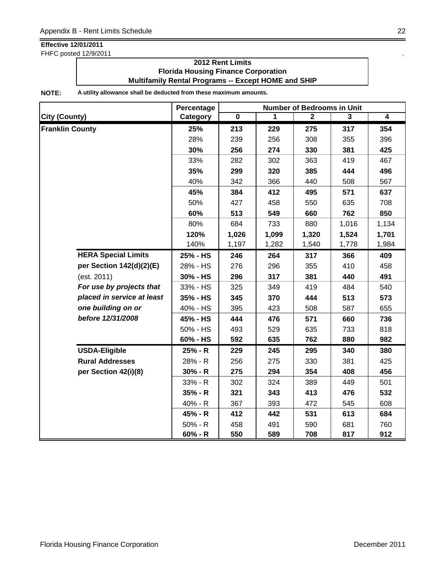FHFC posted 12/9/2011 .

### **2012 Rent Limits Florida Housing Finance Corporation Multifamily Rental Programs -- Except HOME and SHIP**

|                            | Percentage | <b>Number of Bedrooms in Unit</b> |       |                |                |                         |  |
|----------------------------|------------|-----------------------------------|-------|----------------|----------------|-------------------------|--|
| <b>City (County)</b>       | Category   | $\overline{\mathbf{0}}$           | 1     | $\overline{2}$ | $\overline{3}$ | $\overline{\mathbf{4}}$ |  |
| <b>Franklin County</b>     | 25%        | 213                               | 229   | 275            | 317            | 354                     |  |
|                            | 28%        | 239                               | 256   | 308            | 355            | 396                     |  |
|                            | 30%        | 256                               | 274   | 330            | 381            | 425                     |  |
|                            | 33%        | 282                               | 302   | 363            | 419            | 467                     |  |
|                            | 35%        | 299                               | 320   | 385            | 444            | 496                     |  |
|                            | 40%        | 342                               | 366   | 440            | 508            | 567                     |  |
|                            | 45%        | 384                               | 412   | 495            | 571            | 637                     |  |
|                            | 50%        | 427                               | 458   | 550            | 635            | 708                     |  |
|                            | 60%        | 513                               | 549   | 660            | 762            | 850                     |  |
|                            | 80%        | 684                               | 733   | 880            | 1,016          | 1,134                   |  |
|                            | 120%       | 1,026                             | 1,099 | 1,320          | 1,524          | 1,701                   |  |
|                            | 140%       | 1,197                             | 1,282 | 1,540          | 1,778          | 1,984                   |  |
| <b>HERA Special Limits</b> | 25% - HS   | 246                               | 264   | 317            | 366            | 409                     |  |
| per Section 142(d)(2)(E)   | 28% - HS   | 276                               | 296   | 355            | 410            | 458                     |  |
| (est. 2011)                | 30% - HS   | 296                               | 317   | 381            | 440            | 491                     |  |
| For use by projects that   | 33% - HS   | 325                               | 349   | 419            | 484            | 540                     |  |
| placed in service at least | 35% - HS   | 345                               | 370   | 444            | 513            | 573                     |  |
| one building on or         | 40% - HS   | 395                               | 423   | 508            | 587            | 655                     |  |
| before 12/31/2008          | 45% - HS   | 444                               | 476   | 571            | 660            | 736                     |  |
|                            | 50% - HS   | 493                               | 529   | 635            | 733            | 818                     |  |
|                            | 60% - HS   | 592                               | 635   | 762            | 880            | 982                     |  |
| <b>USDA-Eligible</b>       | 25% - R    | 229                               | 245   | 295            | 340            | 380                     |  |
| <b>Rural Addresses</b>     | 28% - R    | 256                               | 275   | 330            | 381            | 425                     |  |
| per Section 42(i)(8)       | $30% - R$  | 275                               | 294   | 354            | 408            | 456                     |  |
|                            | $33% - R$  | 302                               | 324   | 389            | 449            | 501                     |  |
|                            | $35% - R$  | 321                               | 343   | 413            | 476            | 532                     |  |
|                            | 40% - R    | 367                               | 393   | 472            | 545            | 608                     |  |
|                            | 45% - R    | 412                               | 442   | 531            | 613            | 684                     |  |
|                            | $50% - R$  | 458                               | 491   | 590            | 681            | 760                     |  |
|                            | $60% - R$  | 550                               | 589   | 708            | 817            | 912                     |  |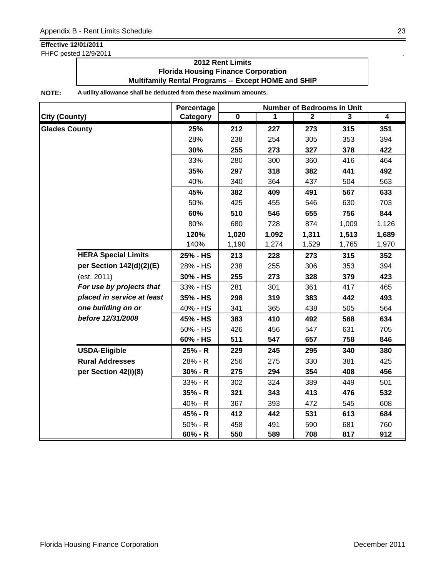FHFC posted 12/9/2011 .

### **2012 Rent Limits Florida Housing Finance Corporation Multifamily Rental Programs -- Except HOME and SHIP**

|                            | Percentage | <b>Number of Bedrooms in Unit</b> |       |              |                |                |  |
|----------------------------|------------|-----------------------------------|-------|--------------|----------------|----------------|--|
| <b>City (County)</b>       | Category   | $\overline{\mathbf{0}}$           | 1     | $\mathbf{2}$ | $\overline{3}$ | $\overline{4}$ |  |
| <b>Glades County</b>       | 25%        | 212                               | 227   | 273          | 315            | 351            |  |
|                            | 28%        | 238                               | 254   | 305          | 353            | 394            |  |
|                            | 30%        | 255                               | 273   | 327          | 378            | 422            |  |
|                            | 33%        | 280                               | 300   | 360          | 416            | 464            |  |
|                            | 35%        | 297                               | 318   | 382          | 441            | 492            |  |
|                            | 40%        | 340                               | 364   | 437          | 504            | 563            |  |
|                            | 45%        | 382                               | 409   | 491          | 567            | 633            |  |
|                            | 50%        | 425                               | 455   | 546          | 630            | 703            |  |
|                            | 60%        | 510                               | 546   | 655          | 756            | 844            |  |
|                            | 80%        | 680                               | 728   | 874          | 1,009          | 1,126          |  |
|                            | 120%       | 1,020                             | 1,092 | 1,311        | 1,513          | 1,689          |  |
|                            | 140%       | 1,190                             | 1,274 | 1,529        | 1,765          | 1,970          |  |
| <b>HERA Special Limits</b> | 25% - HS   | 213                               | 228   | 273          | 315            | 352            |  |
| per Section 142(d)(2)(E)   | 28% - HS   | 238                               | 255   | 306          | 353            | 394            |  |
| (est. 2011)                | 30% - HS   | 255                               | 273   | 328          | 379            | 423            |  |
| For use by projects that   | 33% - HS   | 281                               | 301   | 361          | 417            | 465            |  |
| placed in service at least | 35% - HS   | 298                               | 319   | 383          | 442            | 493            |  |
| one building on or         | 40% - HS   | 341                               | 365   | 438          | 505            | 564            |  |
| before 12/31/2008          | 45% - HS   | 383                               | 410   | 492          | 568            | 634            |  |
|                            | 50% - HS   | 426                               | 456   | 547          | 631            | 705            |  |
|                            | 60% - HS   | 511                               | 547   | 657          | 758            | 846            |  |
| <b>USDA-Eligible</b>       | 25% - R    | 229                               | 245   | 295          | 340            | 380            |  |
| <b>Rural Addresses</b>     | 28% - R    | 256                               | 275   | 330          | 381            | 425            |  |
| per Section 42(i)(8)       | $30% - R$  | 275                               | 294   | 354          | 408            | 456            |  |
|                            | 33% - R    | 302                               | 324   | 389          | 449            | 501            |  |
|                            | $35% - R$  | 321                               | 343   | 413          | 476            | 532            |  |
|                            | 40% - R    | 367                               | 393   | 472          | 545            | 608            |  |
|                            | 45% - R    | 412                               | 442   | 531          | 613            | 684            |  |
|                            | $50% - R$  | 458                               | 491   | 590          | 681            | 760            |  |
|                            | 60% - R    | 550                               | 589   | 708          | 817            | 912            |  |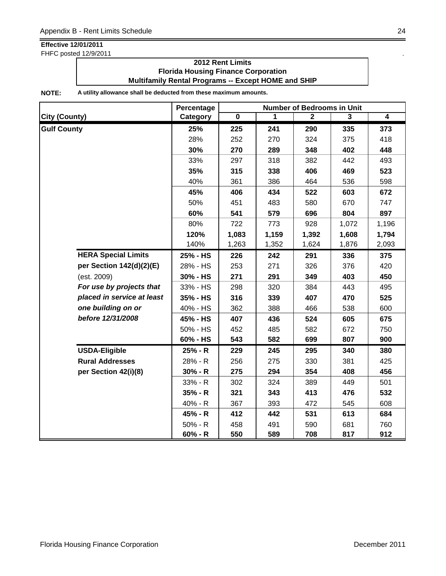FHFC posted 12/9/2011 .

### **2012 Rent Limits Florida Housing Finance Corporation Multifamily Rental Programs -- Except HOME and SHIP**

|                            | Percentage | <b>Number of Bedrooms in Unit</b> |       |                |       |                |  |
|----------------------------|------------|-----------------------------------|-------|----------------|-------|----------------|--|
| <b>City (County)</b>       | Category   | $\overline{\mathbf{0}}$           | 1     | $\overline{2}$ | 3     | $\overline{4}$ |  |
| <b>Gulf County</b>         | 25%        | 225                               | 241   | 290            | 335   | 373            |  |
|                            | 28%        | 252                               | 270   | 324            | 375   | 418            |  |
|                            | 30%        | 270                               | 289   | 348            | 402   | 448            |  |
|                            | 33%        | 297                               | 318   | 382            | 442   | 493            |  |
|                            | 35%        | 315                               | 338   | 406            | 469   | 523            |  |
|                            | 40%        | 361                               | 386   | 464            | 536   | 598            |  |
|                            | 45%        | 406                               | 434   | 522            | 603   | 672            |  |
|                            | 50%        | 451                               | 483   | 580            | 670   | 747            |  |
|                            | 60%        | 541                               | 579   | 696            | 804   | 897            |  |
|                            | 80%        | 722                               | 773   | 928            | 1,072 | 1,196          |  |
|                            | 120%       | 1,083                             | 1,159 | 1,392          | 1,608 | 1,794          |  |
|                            | 140%       | 1,263                             | 1,352 | 1,624          | 1,876 | 2,093          |  |
| <b>HERA Special Limits</b> | 25% - HS   | 226                               | 242   | 291            | 336   | 375            |  |
| per Section 142(d)(2)(E)   | 28% - HS   | 253                               | 271   | 326            | 376   | 420            |  |
| (est. 2009)                | 30% - HS   | 271                               | 291   | 349            | 403   | 450            |  |
| For use by projects that   | 33% - HS   | 298                               | 320   | 384            | 443   | 495            |  |
| placed in service at least | 35% - HS   | 316                               | 339   | 407            | 470   | 525            |  |
| one building on or         | 40% - HS   | 362                               | 388   | 466            | 538   | 600            |  |
| before 12/31/2008          | 45% - HS   | 407                               | 436   | 524            | 605   | 675            |  |
|                            | 50% - HS   | 452                               | 485   | 582            | 672   | 750            |  |
|                            | 60% - HS   | 543                               | 582   | 699            | 807   | 900            |  |
| <b>USDA-Eligible</b>       | 25% - R    | 229                               | 245   | 295            | 340   | 380            |  |
| <b>Rural Addresses</b>     | 28% - R    | 256                               | 275   | 330            | 381   | 425            |  |
| per Section 42(i)(8)       | $30% - R$  | 275                               | 294   | 354            | 408   | 456            |  |
|                            | $33% - R$  | 302                               | 324   | 389            | 449   | 501            |  |
|                            | $35% - R$  | 321                               | 343   | 413            | 476   | 532            |  |
|                            | 40% - R    | 367                               | 393   | 472            | 545   | 608            |  |
|                            | 45% - R    | 412                               | 442   | 531            | 613   | 684            |  |
|                            | $50% - R$  | 458                               | 491   | 590            | 681   | 760            |  |
|                            | $60% - R$  | 550                               | 589   | 708            | 817   | 912            |  |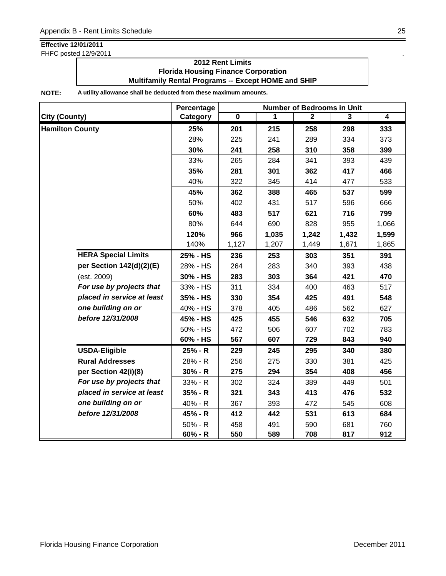FHFC posted 12/9/2011 .

### **2012 Rent Limits Florida Housing Finance Corporation Multifamily Rental Programs -- Except HOME and SHIP**

|                            | Percentage | <b>Number of Bedrooms in Unit</b> |       |              |       |                |  |
|----------------------------|------------|-----------------------------------|-------|--------------|-------|----------------|--|
| <b>City (County)</b>       | Category   | $\overline{\mathbf{0}}$           | 1     | $\mathbf{2}$ | 3     | $\overline{4}$ |  |
| <b>Hamilton County</b>     | 25%        | 201                               | 215   | 258          | 298   | 333            |  |
|                            | 28%        | 225                               | 241   | 289          | 334   | 373            |  |
|                            | 30%        | 241                               | 258   | 310          | 358   | 399            |  |
|                            | 33%        | 265                               | 284   | 341          | 393   | 439            |  |
|                            | 35%        | 281                               | 301   | 362          | 417   | 466            |  |
|                            | 40%        | 322                               | 345   | 414          | 477   | 533            |  |
|                            | 45%        | 362                               | 388   | 465          | 537   | 599            |  |
|                            | 50%        | 402                               | 431   | 517          | 596   | 666            |  |
|                            | 60%        | 483                               | 517   | 621          | 716   | 799            |  |
|                            | 80%        | 644                               | 690   | 828          | 955   | 1,066          |  |
|                            | 120%       | 966                               | 1,035 | 1,242        | 1,432 | 1,599          |  |
|                            | 140%       | 1,127                             | 1,207 | 1,449        | 1,671 | 1,865          |  |
| <b>HERA Special Limits</b> | 25% - HS   | 236                               | 253   | 303          | 351   | 391            |  |
| per Section 142(d)(2)(E)   | 28% - HS   | 264                               | 283   | 340          | 393   | 438            |  |
| (est. 2009)                | 30% - HS   | 283                               | 303   | 364          | 421   | 470            |  |
| For use by projects that   | 33% - HS   | 311                               | 334   | 400          | 463   | 517            |  |
| placed in service at least | 35% - HS   | 330                               | 354   | 425          | 491   | 548            |  |
| one building on or         | 40% - HS   | 378                               | 405   | 486          | 562   | 627            |  |
| before 12/31/2008          | 45% - HS   | 425                               | 455   | 546          | 632   | 705            |  |
|                            | 50% - HS   | 472                               | 506   | 607          | 702   | 783            |  |
|                            | 60% - HS   | 567                               | 607   | 729          | 843   | 940            |  |
| <b>USDA-Eligible</b>       | 25% - R    | 229                               | 245   | 295          | 340   | 380            |  |
| <b>Rural Addresses</b>     | 28% - R    | 256                               | 275   | 330          | 381   | 425            |  |
| per Section 42(i)(8)       | $30% - R$  | 275                               | 294   | 354          | 408   | 456            |  |
| For use by projects that   | $33% - R$  | 302                               | 324   | 389          | 449   | 501            |  |
| placed in service at least | $35% - R$  | 321                               | 343   | 413          | 476   | 532            |  |
| one building on or         | 40% - R    | 367                               | 393   | 472          | 545   | 608            |  |
| before 12/31/2008          | 45% - R    | 412                               | 442   | 531          | 613   | 684            |  |
|                            | $50% - R$  | 458                               | 491   | 590          | 681   | 760            |  |
|                            | $60% - R$  | 550                               | 589   | 708          | 817   | 912            |  |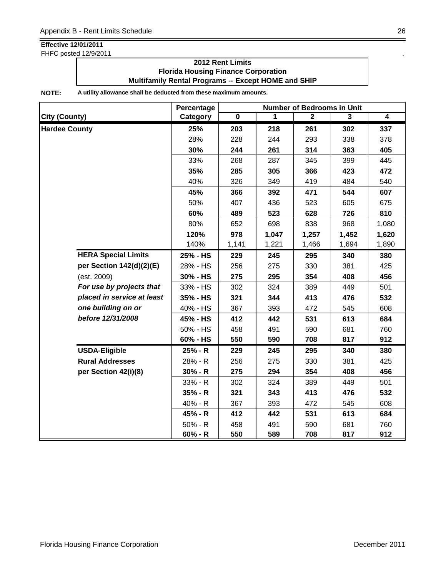FHFC posted 12/9/2011 .

### **2012 Rent Limits Florida Housing Finance Corporation Multifamily Rental Programs -- Except HOME and SHIP**

|                            | Percentage |                         |       | <b>Number of Bedrooms in Unit</b> |                |                |
|----------------------------|------------|-------------------------|-------|-----------------------------------|----------------|----------------|
| <b>City (County)</b>       | Category   | $\overline{\mathbf{0}}$ | 1     | $\mathbf{2}$                      | $\overline{3}$ | $\overline{4}$ |
| <b>Hardee County</b>       | 25%        | 203                     | 218   | 261                               | 302            | 337            |
|                            | 28%        | 228                     | 244   | 293                               | 338            | 378            |
|                            | 30%        | 244                     | 261   | 314                               | 363            | 405            |
|                            | 33%        | 268                     | 287   | 345                               | 399            | 445            |
|                            | 35%        | 285                     | 305   | 366                               | 423            | 472            |
|                            | 40%        | 326                     | 349   | 419                               | 484            | 540            |
|                            | 45%        | 366                     | 392   | 471                               | 544            | 607            |
|                            | 50%        | 407                     | 436   | 523                               | 605            | 675            |
|                            | 60%        | 489                     | 523   | 628                               | 726            | 810            |
|                            | 80%        | 652                     | 698   | 838                               | 968            | 1,080          |
|                            | 120%       | 978                     | 1,047 | 1,257                             | 1,452          | 1,620          |
|                            | 140%       | 1,141                   | 1,221 | 1,466                             | 1,694          | 1,890          |
| <b>HERA Special Limits</b> | 25% - HS   | 229                     | 245   | 295                               | 340            | 380            |
| per Section 142(d)(2)(E)   | 28% - HS   | 256                     | 275   | 330                               | 381            | 425            |
| (est. 2009)                | 30% - HS   | 275                     | 295   | 354                               | 408            | 456            |
| For use by projects that   | 33% - HS   | 302                     | 324   | 389                               | 449            | 501            |
| placed in service at least | 35% - HS   | 321                     | 344   | 413                               | 476            | 532            |
| one building on or         | 40% - HS   | 367                     | 393   | 472                               | 545            | 608            |
| before 12/31/2008          | 45% - HS   | 412                     | 442   | 531                               | 613            | 684            |
|                            | 50% - HS   | 458                     | 491   | 590                               | 681            | 760            |
|                            | 60% - HS   | 550                     | 590   | 708                               | 817            | 912            |
| <b>USDA-Eligible</b>       | 25% - R    | 229                     | 245   | 295                               | 340            | 380            |
| <b>Rural Addresses</b>     | 28% - R    | 256                     | 275   | 330                               | 381            | 425            |
| per Section 42(i)(8)       | $30% - R$  | 275                     | 294   | 354                               | 408            | 456            |
|                            | 33% - R    | 302                     | 324   | 389                               | 449            | 501            |
|                            | $35% - R$  | 321                     | 343   | 413                               | 476            | 532            |
|                            | 40% - R    | 367                     | 393   | 472                               | 545            | 608            |
|                            | 45% - R    | 412                     | 442   | 531                               | 613            | 684            |
|                            | $50% - R$  | 458                     | 491   | 590                               | 681            | 760            |
|                            | $60% - R$  | 550                     | 589   | 708                               | 817            | 912            |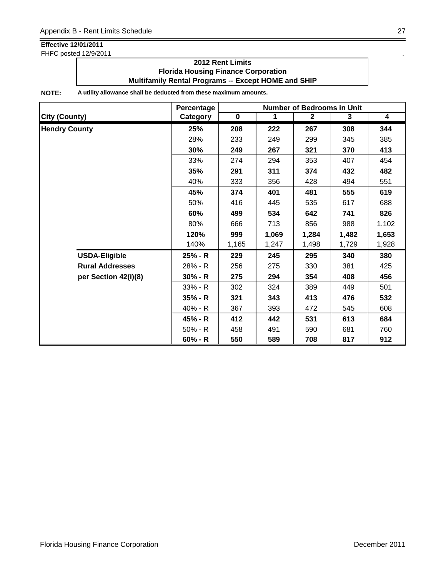FHFC posted 12/9/2011 .

### **2012 Rent Limits Florida Housing Finance Corporation Multifamily Rental Programs -- Except HOME and SHIP**

|                        | Percentage |             | <b>Number of Bedrooms in Unit</b> |              |       |                         |  |
|------------------------|------------|-------------|-----------------------------------|--------------|-------|-------------------------|--|
| <b>City (County)</b>   | Category   | $\mathbf 0$ | 1                                 | $\mathbf{2}$ | 3     | $\overline{\mathbf{4}}$ |  |
| <b>Hendry County</b>   | 25%        | 208         | 222                               | 267          | 308   | 344                     |  |
|                        | 28%        | 233         | 249                               | 299          | 345   | 385                     |  |
|                        | 30%        | 249         | 267                               | 321          | 370   | 413                     |  |
|                        | 33%        | 274         | 294                               | 353          | 407   | 454                     |  |
|                        | 35%        | 291         | 311                               | 374          | 432   | 482                     |  |
|                        | 40%        | 333         | 356                               | 428          | 494   | 551                     |  |
|                        | 45%        | 374         | 401                               | 481          | 555   | 619                     |  |
|                        | 50%        | 416         | 445                               | 535          | 617   | 688                     |  |
|                        | 60%        | 499         | 534                               | 642          | 741   | 826                     |  |
|                        | 80%        | 666         | 713                               | 856          | 988   | 1,102                   |  |
|                        | 120%       | 999         | 1,069                             | 1,284        | 1,482 | 1,653                   |  |
|                        | 140%       | 1,165       | 1,247                             | 1,498        | 1,729 | 1,928                   |  |
| <b>USDA-Eligible</b>   | 25% - R    | 229         | 245                               | 295          | 340   | 380                     |  |
| <b>Rural Addresses</b> | 28% - R    | 256         | 275                               | 330          | 381   | 425                     |  |
| per Section 42(i)(8)   | $30% - R$  | 275         | 294                               | 354          | 408   | 456                     |  |
|                        | 33% - R    | 302         | 324                               | 389          | 449   | 501                     |  |
|                        | $35% - R$  | 321         | 343                               | 413          | 476   | 532                     |  |
|                        | 40% - R    | 367         | 393                               | 472          | 545   | 608                     |  |
|                        | 45% - R    | 412         | 442                               | 531          | 613   | 684                     |  |
|                        | $50% - R$  | 458         | 491                               | 590          | 681   | 760                     |  |
|                        | $60% - R$  | 550         | 589                               | 708          | 817   | 912                     |  |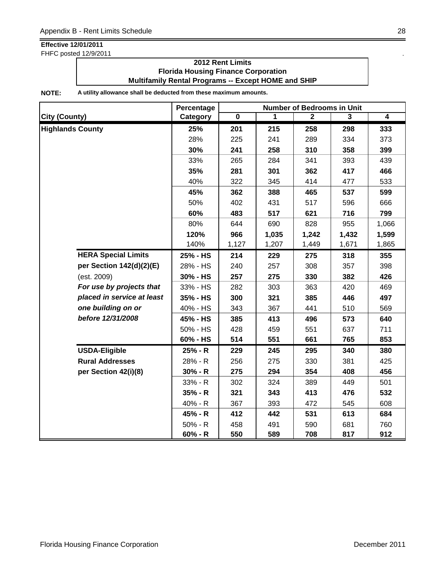FHFC posted 12/9/2011

### **2012 Rent Limits Florida Housing Finance Corporation Multifamily Rental Programs -- Except HOME and SHIP**

|                            | Percentage |             |       | <b>Number of Bedrooms in Unit</b> |       |                |
|----------------------------|------------|-------------|-------|-----------------------------------|-------|----------------|
| <b>City (County)</b>       | Category   | $\mathbf 0$ | 1     | $\overline{2}$                    | 3     | $\overline{4}$ |
| <b>Highlands County</b>    | 25%        | 201         | 215   | 258                               | 298   | 333            |
|                            | 28%        | 225         | 241   | 289                               | 334   | 373            |
|                            | 30%        | 241         | 258   | 310                               | 358   | 399            |
|                            | 33%        | 265         | 284   | 341                               | 393   | 439            |
|                            | 35%        | 281         | 301   | 362                               | 417   | 466            |
|                            | 40%        | 322         | 345   | 414                               | 477   | 533            |
|                            | 45%        | 362         | 388   | 465                               | 537   | 599            |
|                            | 50%        | 402         | 431   | 517                               | 596   | 666            |
|                            | 60%        | 483         | 517   | 621                               | 716   | 799            |
|                            | 80%        | 644         | 690   | 828                               | 955   | 1,066          |
|                            | 120%       | 966         | 1,035 | 1,242                             | 1,432 | 1,599          |
|                            | 140%       | 1,127       | 1,207 | 1,449                             | 1,671 | 1,865          |
| <b>HERA Special Limits</b> | 25% - HS   | 214         | 229   | 275                               | 318   | 355            |
| per Section 142(d)(2)(E)   | 28% - HS   | 240         | 257   | 308                               | 357   | 398            |
| (est. 2009)                | 30% - HS   | 257         | 275   | 330                               | 382   | 426            |
| For use by projects that   | 33% - HS   | 282         | 303   | 363                               | 420   | 469            |
| placed in service at least | 35% - HS   | 300         | 321   | 385                               | 446   | 497            |
| one building on or         | 40% - HS   | 343         | 367   | 441                               | 510   | 569            |
| before 12/31/2008          | 45% - HS   | 385         | 413   | 496                               | 573   | 640            |
|                            | 50% - HS   | 428         | 459   | 551                               | 637   | 711            |
|                            | 60% - HS   | 514         | 551   | 661                               | 765   | 853            |
| <b>USDA-Eligible</b>       | 25% - R    | 229         | 245   | 295                               | 340   | 380            |
| <b>Rural Addresses</b>     | 28% - R    | 256         | 275   | 330                               | 381   | 425            |
| per Section 42(i)(8)       | $30% - R$  | 275         | 294   | 354                               | 408   | 456            |
|                            | 33% - R    | 302         | 324   | 389                               | 449   | 501            |
|                            | $35% - R$  | 321         | 343   | 413                               | 476   | 532            |
|                            | 40% - R    | 367         | 393   | 472                               | 545   | 608            |
|                            | 45% - R    | 412         | 442   | 531                               | 613   | 684            |
|                            | 50% - R    | 458         | 491   | 590                               | 681   | 760            |
|                            | $60% - R$  | 550         | 589   | 708                               | 817   | 912            |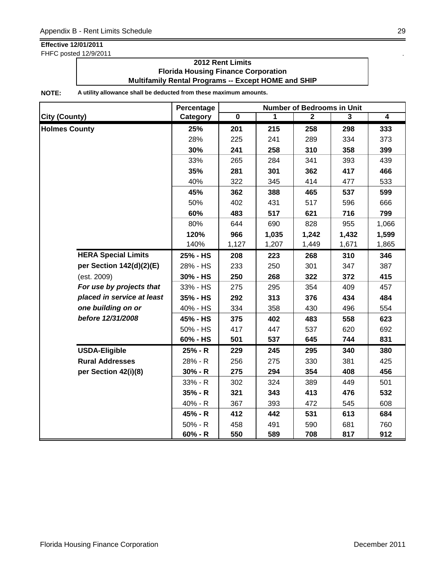FHFC posted 12/9/2011

### **2012 Rent Limits Florida Housing Finance Corporation Multifamily Rental Programs -- Except HOME and SHIP**

|                            | Percentage | <b>Number of Bedrooms in Unit</b> |       |              |                |                |  |
|----------------------------|------------|-----------------------------------|-------|--------------|----------------|----------------|--|
| <b>City (County)</b>       | Category   | $\overline{\mathbf{0}}$           | 1     | $\mathbf{2}$ | $\overline{3}$ | $\overline{4}$ |  |
| <b>Holmes County</b>       | 25%        | 201                               | 215   | 258          | 298            | 333            |  |
|                            | 28%        | 225                               | 241   | 289          | 334            | 373            |  |
|                            | 30%        | 241                               | 258   | 310          | 358            | 399            |  |
|                            | 33%        | 265                               | 284   | 341          | 393            | 439            |  |
|                            | 35%        | 281                               | 301   | 362          | 417            | 466            |  |
|                            | 40%        | 322                               | 345   | 414          | 477            | 533            |  |
|                            | 45%        | 362                               | 388   | 465          | 537            | 599            |  |
|                            | 50%        | 402                               | 431   | 517          | 596            | 666            |  |
|                            | 60%        | 483                               | 517   | 621          | 716            | 799            |  |
|                            | 80%        | 644                               | 690   | 828          | 955            | 1,066          |  |
|                            | 120%       | 966                               | 1,035 | 1,242        | 1,432          | 1,599          |  |
|                            | 140%       | 1,127                             | 1,207 | 1,449        | 1,671          | 1,865          |  |
| <b>HERA Special Limits</b> | 25% - HS   | 208                               | 223   | 268          | 310            | 346            |  |
| per Section 142(d)(2)(E)   | 28% - HS   | 233                               | 250   | 301          | 347            | 387            |  |
| (est. 2009)                | 30% - HS   | 250                               | 268   | 322          | 372            | 415            |  |
| For use by projects that   | 33% - HS   | 275                               | 295   | 354          | 409            | 457            |  |
| placed in service at least | 35% - HS   | 292                               | 313   | 376          | 434            | 484            |  |
| one building on or         | 40% - HS   | 334                               | 358   | 430          | 496            | 554            |  |
| before 12/31/2008          | 45% - HS   | 375                               | 402   | 483          | 558            | 623            |  |
|                            | 50% - HS   | 417                               | 447   | 537          | 620            | 692            |  |
|                            | 60% - HS   | 501                               | 537   | 645          | 744            | 831            |  |
| <b>USDA-Eligible</b>       | 25% - R    | 229                               | 245   | 295          | 340            | 380            |  |
| <b>Rural Addresses</b>     | 28% - R    | 256                               | 275   | 330          | 381            | 425            |  |
| per Section 42(i)(8)       | $30% - R$  | 275                               | 294   | 354          | 408            | 456            |  |
|                            | 33% - R    | 302                               | 324   | 389          | 449            | 501            |  |
|                            | $35% - R$  | 321                               | 343   | 413          | 476            | 532            |  |
|                            | 40% - R    | 367                               | 393   | 472          | 545            | 608            |  |
|                            | 45% - R    | 412                               | 442   | 531          | 613            | 684            |  |
|                            | $50% - R$  | 458                               | 491   | 590          | 681            | 760            |  |
|                            | $60% - R$  | 550                               | 589   | 708          | 817            | 912            |  |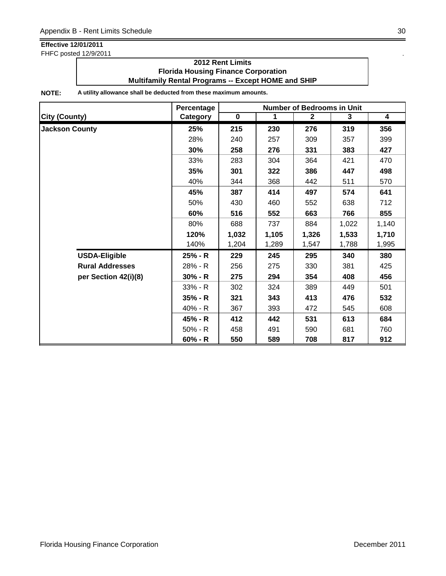FHFC posted 12/9/2011 .

### **2012 Rent Limits Florida Housing Finance Corporation Multifamily Rental Programs -- Except HOME and SHIP**

|                        | Percentage |           |             | <b>Number of Bedrooms in Unit</b> |       |                         |
|------------------------|------------|-----------|-------------|-----------------------------------|-------|-------------------------|
| <b>City (County)</b>   | Category   | $\pmb{0}$ | $\mathbf 1$ | $\mathbf{2}$                      | 3     | $\overline{\mathbf{4}}$ |
| <b>Jackson County</b>  | 25%        | 215       | 230         | 276                               | 319   | 356                     |
|                        | 28%        | 240       | 257         | 309                               | 357   | 399                     |
|                        | 30%        | 258       | 276         | 331                               | 383   | 427                     |
|                        | 33%        | 283       | 304         | 364                               | 421   | 470                     |
|                        | 35%        | 301       | 322         | 386                               | 447   | 498                     |
|                        | 40%        | 344       | 368         | 442                               | 511   | 570                     |
|                        | 45%        | 387       | 414         | 497                               | 574   | 641                     |
|                        | 50%        | 430       | 460         | 552                               | 638   | 712                     |
|                        | 60%        | 516       | 552         | 663                               | 766   | 855                     |
|                        | 80%        | 688       | 737         | 884                               | 1,022 | 1,140                   |
|                        | 120%       | 1,032     | 1,105       | 1,326                             | 1,533 | 1,710                   |
|                        | 140%       | 1,204     | 1,289       | 1,547                             | 1,788 | 1,995                   |
| <b>USDA-Eligible</b>   | 25% - R    | 229       | 245         | 295                               | 340   | 380                     |
| <b>Rural Addresses</b> | 28% - R    | 256       | 275         | 330                               | 381   | 425                     |
| per Section 42(i)(8)   | $30% - R$  | 275       | 294         | 354                               | 408   | 456                     |
|                        | $33% - R$  | 302       | 324         | 389                               | 449   | 501                     |
|                        | $35% - R$  | 321       | 343         | 413                               | 476   | 532                     |
|                        | $40% - R$  | 367       | 393         | 472                               | 545   | 608                     |
|                        | 45% - R    | 412       | 442         | 531                               | 613   | 684                     |
|                        | $50% - R$  | 458       | 491         | 590                               | 681   | 760                     |
|                        | 60% - R    | 550       | 589         | 708                               | 817   | 912                     |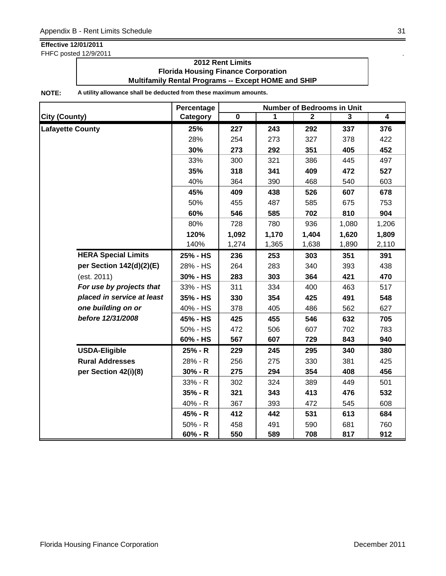FHFC posted 12/9/2011

### **2012 Rent Limits Florida Housing Finance Corporation Multifamily Rental Programs -- Except HOME and SHIP**

|                            | Percentage | <b>Number of Bedrooms in Unit</b> |       |              |       |                |  |
|----------------------------|------------|-----------------------------------|-------|--------------|-------|----------------|--|
| <b>City (County)</b>       | Category   | $\overline{\mathbf{0}}$           | 1     | $\mathbf{2}$ | 3     | $\overline{4}$ |  |
| <b>Lafayette County</b>    | 25%        | 227                               | 243   | 292          | 337   | 376            |  |
|                            | 28%        | 254                               | 273   | 327          | 378   | 422            |  |
|                            | 30%        | 273                               | 292   | 351          | 405   | 452            |  |
|                            | 33%        | 300                               | 321   | 386          | 445   | 497            |  |
|                            | 35%        | 318                               | 341   | 409          | 472   | 527            |  |
|                            | 40%        | 364                               | 390   | 468          | 540   | 603            |  |
|                            | 45%        | 409                               | 438   | 526          | 607   | 678            |  |
|                            | 50%        | 455                               | 487   | 585          | 675   | 753            |  |
|                            | 60%        | 546                               | 585   | 702          | 810   | 904            |  |
|                            | 80%        | 728                               | 780   | 936          | 1,080 | 1,206          |  |
|                            | 120%       | 1,092                             | 1,170 | 1,404        | 1,620 | 1,809          |  |
|                            | 140%       | 1,274                             | 1,365 | 1,638        | 1,890 | 2,110          |  |
| <b>HERA Special Limits</b> | 25% - HS   | 236                               | 253   | 303          | 351   | 391            |  |
| per Section 142(d)(2)(E)   | 28% - HS   | 264                               | 283   | 340          | 393   | 438            |  |
| (est. 2011)                | 30% - HS   | 283                               | 303   | 364          | 421   | 470            |  |
| For use by projects that   | 33% - HS   | 311                               | 334   | 400          | 463   | 517            |  |
| placed in service at least | 35% - HS   | 330                               | 354   | 425          | 491   | 548            |  |
| one building on or         | 40% - HS   | 378                               | 405   | 486          | 562   | 627            |  |
| before 12/31/2008          | 45% - HS   | 425                               | 455   | 546          | 632   | 705            |  |
|                            | 50% - HS   | 472                               | 506   | 607          | 702   | 783            |  |
|                            | 60% - HS   | 567                               | 607   | 729          | 843   | 940            |  |
| <b>USDA-Eligible</b>       | 25% - R    | 229                               | 245   | 295          | 340   | 380            |  |
| <b>Rural Addresses</b>     | 28% - R    | 256                               | 275   | 330          | 381   | 425            |  |
| per Section 42(i)(8)       | $30% - R$  | 275                               | 294   | 354          | 408   | 456            |  |
|                            | $33% - R$  | 302                               | 324   | 389          | 449   | 501            |  |
|                            | $35% - R$  | 321                               | 343   | 413          | 476   | 532            |  |
|                            | 40% - R    | 367                               | 393   | 472          | 545   | 608            |  |
|                            | 45% - R    | 412                               | 442   | 531          | 613   | 684            |  |
|                            | $50% - R$  | 458                               | 491   | 590          | 681   | 760            |  |
|                            | $60% - R$  | 550                               | 589   | 708          | 817   | 912            |  |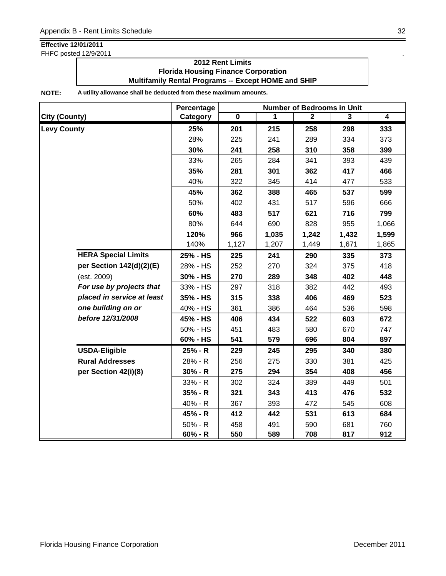FHFC posted 12/9/2011

### **2012 Rent Limits Florida Housing Finance Corporation Multifamily Rental Programs -- Except HOME and SHIP**

|                            | Percentage | <b>Number of Bedrooms in Unit</b> |       |              |       |                |  |
|----------------------------|------------|-----------------------------------|-------|--------------|-------|----------------|--|
| <b>City (County)</b>       | Category   | $\overline{\mathbf{0}}$           | 1     | $\mathbf{2}$ | 3     | $\overline{4}$ |  |
| <b>Levy County</b>         | 25%        | 201                               | 215   | 258          | 298   | 333            |  |
|                            | 28%        | 225                               | 241   | 289          | 334   | 373            |  |
|                            | 30%        | 241                               | 258   | 310          | 358   | 399            |  |
|                            | 33%        | 265                               | 284   | 341          | 393   | 439            |  |
|                            | 35%        | 281                               | 301   | 362          | 417   | 466            |  |
|                            | 40%        | 322                               | 345   | 414          | 477   | 533            |  |
|                            | 45%        | 362                               | 388   | 465          | 537   | 599            |  |
|                            | 50%        | 402                               | 431   | 517          | 596   | 666            |  |
|                            | 60%        | 483                               | 517   | 621          | 716   | 799            |  |
|                            | 80%        | 644                               | 690   | 828          | 955   | 1,066          |  |
|                            | 120%       | 966                               | 1,035 | 1,242        | 1,432 | 1,599          |  |
|                            | 140%       | 1,127                             | 1,207 | 1,449        | 1,671 | 1,865          |  |
| <b>HERA Special Limits</b> | 25% - HS   | 225                               | 241   | 290          | 335   | 373            |  |
| per Section 142(d)(2)(E)   | 28% - HS   | 252                               | 270   | 324          | 375   | 418            |  |
| (est. 2009)                | 30% - HS   | 270                               | 289   | 348          | 402   | 448            |  |
| For use by projects that   | 33% - HS   | 297                               | 318   | 382          | 442   | 493            |  |
| placed in service at least | 35% - HS   | 315                               | 338   | 406          | 469   | 523            |  |
| one building on or         | 40% - HS   | 361                               | 386   | 464          | 536   | 598            |  |
| before 12/31/2008          | 45% - HS   | 406                               | 434   | 522          | 603   | 672            |  |
|                            | 50% - HS   | 451                               | 483   | 580          | 670   | 747            |  |
|                            | 60% - HS   | 541                               | 579   | 696          | 804   | 897            |  |
| <b>USDA-Eligible</b>       | 25% - R    | 229                               | 245   | 295          | 340   | 380            |  |
| <b>Rural Addresses</b>     | 28% - R    | 256                               | 275   | 330          | 381   | 425            |  |
| per Section 42(i)(8)       | $30% - R$  | 275                               | 294   | 354          | 408   | 456            |  |
|                            | $33% - R$  | 302                               | 324   | 389          | 449   | 501            |  |
|                            | $35% - R$  | 321                               | 343   | 413          | 476   | 532            |  |
|                            | 40% - R    | 367                               | 393   | 472          | 545   | 608            |  |
|                            | 45% - R    | 412                               | 442   | 531          | 613   | 684            |  |
|                            | $50% - R$  | 458                               | 491   | 590          | 681   | 760            |  |
|                            | $60% - R$  | 550                               | 589   | 708          | 817   | 912            |  |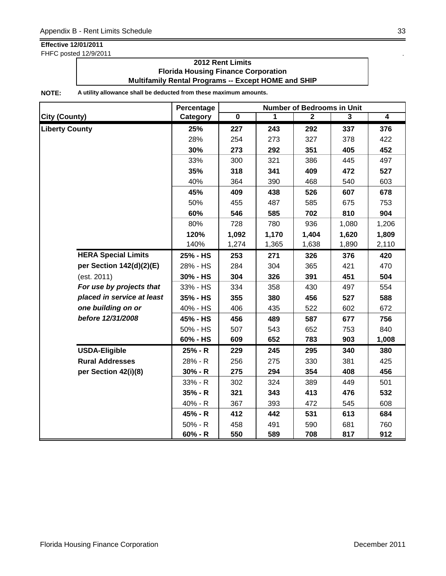FHFC posted 12/9/2011 .

### **2012 Rent Limits Florida Housing Finance Corporation Multifamily Rental Programs -- Except HOME and SHIP**

|                            | Percentage | <b>Number of Bedrooms in Unit</b> |       |              |                |                |  |
|----------------------------|------------|-----------------------------------|-------|--------------|----------------|----------------|--|
| <b>City (County)</b>       | Category   | $\overline{\mathbf{0}}$           | 1     | $\mathbf{2}$ | $\overline{3}$ | $\overline{4}$ |  |
| <b>Liberty County</b>      | 25%        | 227                               | 243   | 292          | 337            | 376            |  |
|                            | 28%        | 254                               | 273   | 327          | 378            | 422            |  |
|                            | 30%        | 273                               | 292   | 351          | 405            | 452            |  |
|                            | 33%        | 300                               | 321   | 386          | 445            | 497            |  |
|                            | 35%        | 318                               | 341   | 409          | 472            | 527            |  |
|                            | 40%        | 364                               | 390   | 468          | 540            | 603            |  |
|                            | 45%        | 409                               | 438   | 526          | 607            | 678            |  |
|                            | 50%        | 455                               | 487   | 585          | 675            | 753            |  |
|                            | 60%        | 546                               | 585   | 702          | 810            | 904            |  |
|                            | 80%        | 728                               | 780   | 936          | 1,080          | 1,206          |  |
|                            | 120%       | 1,092                             | 1,170 | 1,404        | 1,620          | 1,809          |  |
|                            | 140%       | 1,274                             | 1,365 | 1,638        | 1,890          | 2,110          |  |
| <b>HERA Special Limits</b> | 25% - HS   | 253                               | 271   | 326          | 376            | 420            |  |
| per Section 142(d)(2)(E)   | 28% - HS   | 284                               | 304   | 365          | 421            | 470            |  |
| (est. 2011)                | 30% - HS   | 304                               | 326   | 391          | 451            | 504            |  |
| For use by projects that   | 33% - HS   | 334                               | 358   | 430          | 497            | 554            |  |
| placed in service at least | 35% - HS   | 355                               | 380   | 456          | 527            | 588            |  |
| one building on or         | 40% - HS   | 406                               | 435   | 522          | 602            | 672            |  |
| before 12/31/2008          | 45% - HS   | 456                               | 489   | 587          | 677            | 756            |  |
|                            | 50% - HS   | 507                               | 543   | 652          | 753            | 840            |  |
|                            | 60% - HS   | 609                               | 652   | 783          | 903            | 1,008          |  |
| <b>USDA-Eligible</b>       | 25% - R    | 229                               | 245   | 295          | 340            | 380            |  |
| <b>Rural Addresses</b>     | 28% - R    | 256                               | 275   | 330          | 381            | 425            |  |
| per Section 42(i)(8)       | $30% - R$  | 275                               | 294   | 354          | 408            | 456            |  |
|                            | 33% - R    | 302                               | 324   | 389          | 449            | 501            |  |
|                            | $35% - R$  | 321                               | 343   | 413          | 476            | 532            |  |
|                            | 40% - R    | 367                               | 393   | 472          | 545            | 608            |  |
|                            | 45% - R    | 412                               | 442   | 531          | 613            | 684            |  |
|                            | 50% - R    | 458                               | 491   | 590          | 681            | 760            |  |
|                            | $60% - R$  | 550                               | 589   | 708          | 817            | 912            |  |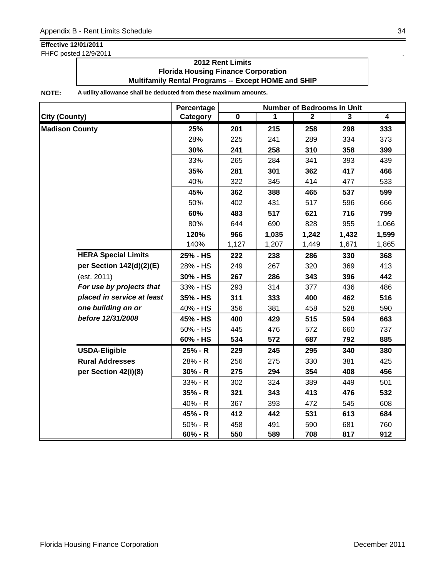FHFC posted 12/9/2011 .

### **2012 Rent Limits Florida Housing Finance Corporation Multifamily Rental Programs -- Except HOME and SHIP**

|                            | Percentage | <b>Number of Bedrooms in Unit</b> |       |              |                |                |  |
|----------------------------|------------|-----------------------------------|-------|--------------|----------------|----------------|--|
| <b>City (County)</b>       | Category   | $\overline{\mathbf{0}}$           | 1     | $\mathbf{2}$ | $\overline{3}$ | $\overline{4}$ |  |
| <b>Madison County</b>      | 25%        | 201                               | 215   | 258          | 298            | 333            |  |
|                            | 28%        | 225                               | 241   | 289          | 334            | 373            |  |
|                            | 30%        | 241                               | 258   | 310          | 358            | 399            |  |
|                            | 33%        | 265                               | 284   | 341          | 393            | 439            |  |
|                            | 35%        | 281                               | 301   | 362          | 417            | 466            |  |
|                            | 40%        | 322                               | 345   | 414          | 477            | 533            |  |
|                            | 45%        | 362                               | 388   | 465          | 537            | 599            |  |
|                            | 50%        | 402                               | 431   | 517          | 596            | 666            |  |
|                            | 60%        | 483                               | 517   | 621          | 716            | 799            |  |
|                            | 80%        | 644                               | 690   | 828          | 955            | 1,066          |  |
|                            | 120%       | 966                               | 1,035 | 1,242        | 1,432          | 1,599          |  |
|                            | 140%       | 1,127                             | 1,207 | 1,449        | 1,671          | 1,865          |  |
| <b>HERA Special Limits</b> | 25% - HS   | 222                               | 238   | 286          | 330            | 368            |  |
| per Section 142(d)(2)(E)   | 28% - HS   | 249                               | 267   | 320          | 369            | 413            |  |
| (est. 2011)                | 30% - HS   | 267                               | 286   | 343          | 396            | 442            |  |
| For use by projects that   | 33% - HS   | 293                               | 314   | 377          | 436            | 486            |  |
| placed in service at least | 35% - HS   | 311                               | 333   | 400          | 462            | 516            |  |
| one building on or         | 40% - HS   | 356                               | 381   | 458          | 528            | 590            |  |
| before 12/31/2008          | 45% - HS   | 400                               | 429   | 515          | 594            | 663            |  |
|                            | 50% - HS   | 445                               | 476   | 572          | 660            | 737            |  |
|                            | 60% - HS   | 534                               | 572   | 687          | 792            | 885            |  |
| <b>USDA-Eligible</b>       | 25% - R    | 229                               | 245   | 295          | 340            | 380            |  |
| <b>Rural Addresses</b>     | 28% - R    | 256                               | 275   | 330          | 381            | 425            |  |
| per Section 42(i)(8)       | $30% - R$  | 275                               | 294   | 354          | 408            | 456            |  |
|                            | 33% - R    | 302                               | 324   | 389          | 449            | 501            |  |
|                            | $35% - R$  | 321                               | 343   | 413          | 476            | 532            |  |
|                            | 40% - R    | 367                               | 393   | 472          | 545            | 608            |  |
|                            | 45% - R    | 412                               | 442   | 531          | 613            | 684            |  |
|                            | $50% - R$  | 458                               | 491   | 590          | 681            | 760            |  |
|                            | $60% - R$  | 550                               | 589   | 708          | 817            | 912            |  |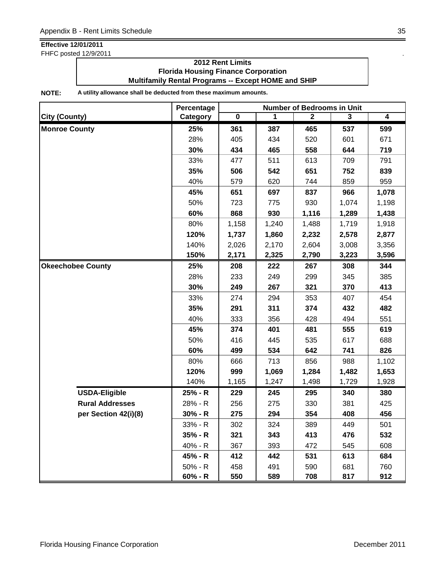FHFC posted 12/9/2011 .

### **2012 Rent Limits Florida Housing Finance Corporation Multifamily Rental Programs -- Except HOME and SHIP**

|                          | Percentage | <b>Number of Bedrooms in Unit</b> |       |              |       |       |  |
|--------------------------|------------|-----------------------------------|-------|--------------|-------|-------|--|
| <b>City (County)</b>     | Category   | $\overline{\mathbf{0}}$           | 1     | $\mathbf{2}$ | 3     | 4     |  |
| <b>Monroe County</b>     | 25%        | 361                               | 387   | 465          | 537   | 599   |  |
|                          | 28%        | 405                               | 434   | 520          | 601   | 671   |  |
|                          | 30%        | 434                               | 465   | 558          | 644   | 719   |  |
|                          | 33%        | 477                               | 511   | 613          | 709   | 791   |  |
|                          | 35%        | 506                               | 542   | 651          | 752   | 839   |  |
|                          | 40%        | 579                               | 620   | 744          | 859   | 959   |  |
|                          | 45%        | 651                               | 697   | 837          | 966   | 1,078 |  |
|                          | 50%        | 723                               | 775   | 930          | 1,074 | 1,198 |  |
|                          | 60%        | 868                               | 930   | 1,116        | 1,289 | 1,438 |  |
|                          | 80%        | 1,158                             | 1,240 | 1,488        | 1,719 | 1,918 |  |
|                          | 120%       | 1,737                             | 1,860 | 2,232        | 2,578 | 2,877 |  |
|                          | 140%       | 2,026                             | 2,170 | 2,604        | 3,008 | 3,356 |  |
|                          | 150%       | 2,171                             | 2,325 | 2,790        | 3,223 | 3,596 |  |
| <b>Okeechobee County</b> | 25%        | 208                               | 222   | 267          | 308   | 344   |  |
|                          | 28%        | 233                               | 249   | 299          | 345   | 385   |  |
|                          | 30%        | 249                               | 267   | 321          | 370   | 413   |  |
|                          | 33%        | 274                               | 294   | 353          | 407   | 454   |  |
|                          | 35%        | 291                               | 311   | 374          | 432   | 482   |  |
|                          | 40%        | 333                               | 356   | 428          | 494   | 551   |  |
|                          | 45%        | 374                               | 401   | 481          | 555   | 619   |  |
|                          | 50%        | 416                               | 445   | 535          | 617   | 688   |  |
|                          | 60%        | 499                               | 534   | 642          | 741   | 826   |  |
|                          | 80%        | 666                               | 713   | 856          | 988   | 1,102 |  |
|                          | 120%       | 999                               | 1,069 | 1,284        | 1,482 | 1,653 |  |
|                          | 140%       | 1,165                             | 1,247 | 1,498        | 1,729 | 1,928 |  |
| <b>USDA-Eligible</b>     | 25% - R    | 229                               | 245   | 295          | 340   | 380   |  |
| <b>Rural Addresses</b>   | 28% - R    | 256                               | 275   | 330          | 381   | 425   |  |
| per Section 42(i)(8)     | $30% - R$  | 275                               | 294   | 354          | 408   | 456   |  |
|                          | 33% - R    | 302                               | 324   | 389          | 449   | 501   |  |
|                          | 35% - R    | 321                               | 343   | 413          | 476   | 532   |  |
|                          | 40% - R    | 367                               | 393   | 472          | 545   | 608   |  |
|                          | 45% - R    | 412                               | 442   | 531          | 613   | 684   |  |
|                          | $50% - R$  | 458                               | 491   | 590          | 681   | 760   |  |
|                          | 60% - R    | 550                               | 589   | 708          | 817   | 912   |  |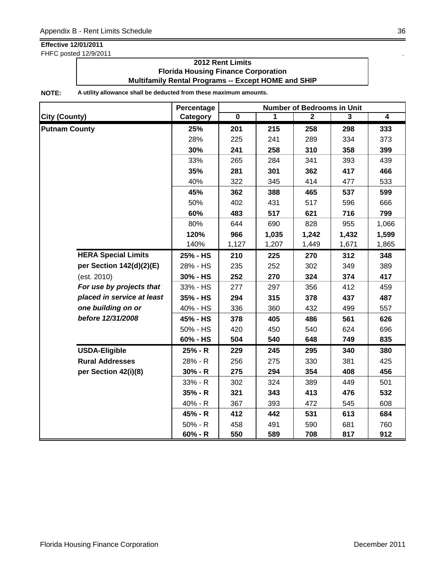FHFC posted 12/9/2011 .

### **2012 Rent Limits Florida Housing Finance Corporation Multifamily Rental Programs -- Except HOME and SHIP**

|                            | Percentage | <b>Number of Bedrooms in Unit</b> |       |                |       |                |  |  |
|----------------------------|------------|-----------------------------------|-------|----------------|-------|----------------|--|--|
| <b>City (County)</b>       | Category   | $\overline{\mathbf{0}}$           | 1     | $\overline{2}$ | 3     | $\overline{4}$ |  |  |
| <b>Putnam County</b>       | 25%        | 201                               | 215   | 258            | 298   | 333            |  |  |
|                            | 28%        | 225                               | 241   | 289            | 334   | 373            |  |  |
|                            | 30%        | 241                               | 258   | 310            | 358   | 399            |  |  |
|                            | 33%        | 265                               | 284   | 341            | 393   | 439            |  |  |
|                            | 35%        | 281                               | 301   | 362            | 417   | 466            |  |  |
|                            | 40%        | 322                               | 345   | 414            | 477   | 533            |  |  |
|                            | 45%        | 362                               | 388   | 465            | 537   | 599            |  |  |
|                            | 50%        | 402                               | 431   | 517            | 596   | 666            |  |  |
|                            | 60%        | 483                               | 517   | 621            | 716   | 799            |  |  |
|                            | 80%        | 644                               | 690   | 828            | 955   | 1,066          |  |  |
|                            | 120%       | 966                               | 1,035 | 1,242          | 1,432 | 1,599          |  |  |
|                            | 140%       | 1,127                             | 1,207 | 1,449          | 1,671 | 1,865          |  |  |
| <b>HERA Special Limits</b> | 25% - HS   | 210                               | 225   | 270            | 312   | 348            |  |  |
| per Section 142(d)(2)(E)   | 28% - HS   | 235                               | 252   | 302            | 349   | 389            |  |  |
| (est. 2010)                | 30% - HS   | 252                               | 270   | 324            | 374   | 417            |  |  |
| For use by projects that   | 33% - HS   | 277                               | 297   | 356            | 412   | 459            |  |  |
| placed in service at least | 35% - HS   | 294                               | 315   | 378            | 437   | 487            |  |  |
| one building on or         | 40% - HS   | 336                               | 360   | 432            | 499   | 557            |  |  |
| before 12/31/2008          | 45% - HS   | 378                               | 405   | 486            | 561   | 626            |  |  |
|                            | 50% - HS   | 420                               | 450   | 540            | 624   | 696            |  |  |
|                            | 60% - HS   | 504                               | 540   | 648            | 749   | 835            |  |  |
| <b>USDA-Eligible</b>       | 25% - R    | 229                               | 245   | 295            | 340   | 380            |  |  |
| <b>Rural Addresses</b>     | 28% - R    | 256                               | 275   | 330            | 381   | 425            |  |  |
| per Section 42(i)(8)       | $30% - R$  | 275                               | 294   | 354            | 408   | 456            |  |  |
|                            | 33% - R    | 302                               | 324   | 389            | 449   | 501            |  |  |
|                            | $35% - R$  | 321                               | 343   | 413            | 476   | 532            |  |  |
|                            | 40% - R    | 367                               | 393   | 472            | 545   | 608            |  |  |
|                            | 45% - R    | 412                               | 442   | 531            | 613   | 684            |  |  |
|                            | $50% - R$  | 458                               | 491   | 590            | 681   | 760            |  |  |
|                            | $60% - R$  | 550                               | 589   | 708            | 817   | 912            |  |  |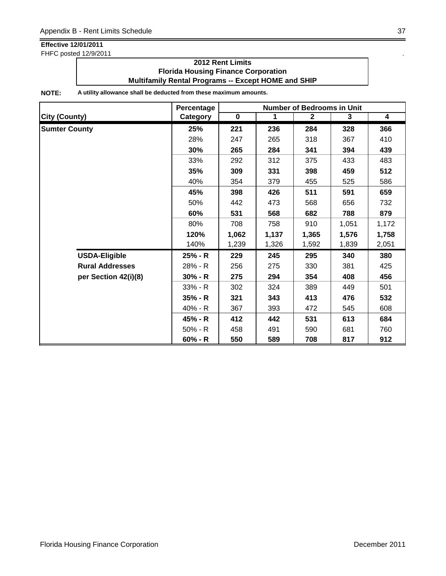FHFC posted 12/9/2011 .

### **2012 Rent Limits Florida Housing Finance Corporation Multifamily Rental Programs -- Except HOME and SHIP**

|                        | Percentage | <b>Number of Bedrooms in Unit</b> |             |              |       |                         |
|------------------------|------------|-----------------------------------|-------------|--------------|-------|-------------------------|
| <b>City (County)</b>   | Category   | $\mathbf 0$                       | $\mathbf 1$ | $\mathbf{2}$ | 3     | $\overline{\mathbf{4}}$ |
| <b>Sumter County</b>   | 25%        | 221                               | 236         | 284          | 328   | 366                     |
|                        | 28%        | 247                               | 265         | 318          | 367   | 410                     |
|                        | 30%        | 265                               | 284         | 341          | 394   | 439                     |
|                        | 33%        | 292                               | 312         | 375          | 433   | 483                     |
|                        | 35%        | 309                               | 331         | 398          | 459   | 512                     |
|                        | 40%        | 354                               | 379         | 455          | 525   | 586                     |
|                        | 45%        | 398                               | 426         | 511          | 591   | 659                     |
|                        | 50%        | 442                               | 473         | 568          | 656   | 732                     |
|                        | 60%        | 531                               | 568         | 682          | 788   | 879                     |
|                        | 80%        | 708                               | 758         | 910          | 1,051 | 1,172                   |
|                        | 120%       | 1,062                             | 1,137       | 1,365        | 1,576 | 1,758                   |
|                        | 140%       | 1,239                             | 1,326       | 1,592        | 1,839 | 2,051                   |
| <b>USDA-Eligible</b>   | 25% - R    | 229                               | 245         | 295          | 340   | 380                     |
| <b>Rural Addresses</b> | 28% - R    | 256                               | 275         | 330          | 381   | 425                     |
| per Section 42(i)(8)   | $30% - R$  | 275                               | 294         | 354          | 408   | 456                     |
|                        | $33% - R$  | 302                               | 324         | 389          | 449   | 501                     |
|                        | $35% - R$  | 321                               | 343         | 413          | 476   | 532                     |
|                        | 40% - R    | 367                               | 393         | 472          | 545   | 608                     |
|                        | 45% - R    | 412                               | 442         | 531          | 613   | 684                     |
|                        | $50% - R$  | 458                               | 491         | 590          | 681   | 760                     |
|                        | $60% - R$  | 550                               | 589         | 708          | 817   | 912                     |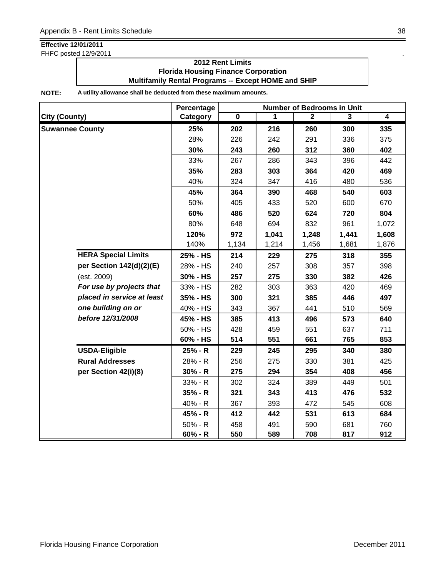FHFC posted 12/9/2011

### **2012 Rent Limits Florida Housing Finance Corporation Multifamily Rental Programs -- Except HOME and SHIP**

|                            | Percentage | <b>Number of Bedrooms in Unit</b> |       |              |       |                |
|----------------------------|------------|-----------------------------------|-------|--------------|-------|----------------|
| <b>City (County)</b>       | Category   | $\overline{\mathbf{0}}$           | 1     | $\mathbf{2}$ | 3     | $\overline{4}$ |
| <b>Suwannee County</b>     | 25%        | 202                               | 216   | 260          | 300   | 335            |
|                            | 28%        | 226                               | 242   | 291          | 336   | 375            |
|                            | 30%        | 243                               | 260   | 312          | 360   | 402            |
|                            | 33%        | 267                               | 286   | 343          | 396   | 442            |
|                            | 35%        | 283                               | 303   | 364          | 420   | 469            |
|                            | 40%        | 324                               | 347   | 416          | 480   | 536            |
|                            | 45%        | 364                               | 390   | 468          | 540   | 603            |
|                            | 50%        | 405                               | 433   | 520          | 600   | 670            |
|                            | 60%        | 486                               | 520   | 624          | 720   | 804            |
|                            | 80%        | 648                               | 694   | 832          | 961   | 1,072          |
|                            | 120%       | 972                               | 1,041 | 1,248        | 1,441 | 1,608          |
|                            | 140%       | 1,134                             | 1,214 | 1,456        | 1,681 | 1,876          |
| <b>HERA Special Limits</b> | 25% - HS   | 214                               | 229   | 275          | 318   | 355            |
| per Section 142(d)(2)(E)   | 28% - HS   | 240                               | 257   | 308          | 357   | 398            |
| (est. 2009)                | 30% - HS   | 257                               | 275   | 330          | 382   | 426            |
| For use by projects that   | 33% - HS   | 282                               | 303   | 363          | 420   | 469            |
| placed in service at least | 35% - HS   | 300                               | 321   | 385          | 446   | 497            |
| one building on or         | 40% - HS   | 343                               | 367   | 441          | 510   | 569            |
| before 12/31/2008          | 45% - HS   | 385                               | 413   | 496          | 573   | 640            |
|                            | 50% - HS   | 428                               | 459   | 551          | 637   | 711            |
|                            | 60% - HS   | 514                               | 551   | 661          | 765   | 853            |
| <b>USDA-Eligible</b>       | 25% - R    | 229                               | 245   | 295          | 340   | 380            |
| <b>Rural Addresses</b>     | 28% - R    | 256                               | 275   | 330          | 381   | 425            |
| per Section 42(i)(8)       | $30% - R$  | 275                               | 294   | 354          | 408   | 456            |
|                            | $33% - R$  | 302                               | 324   | 389          | 449   | 501            |
|                            | $35% - R$  | 321                               | 343   | 413          | 476   | 532            |
|                            | 40% - R    | 367                               | 393   | 472          | 545   | 608            |
|                            | 45% - R    | 412                               | 442   | 531          | 613   | 684            |
|                            | $50% - R$  | 458                               | 491   | 590          | 681   | 760            |
|                            | $60% - R$  | 550                               | 589   | 708          | 817   | 912            |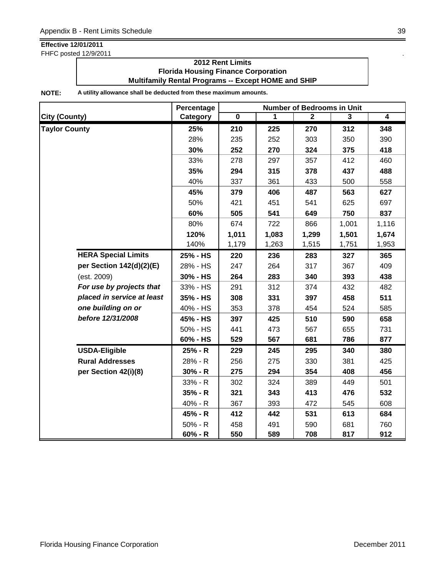FHFC posted 12/9/2011 .

### **2012 Rent Limits Florida Housing Finance Corporation Multifamily Rental Programs -- Except HOME and SHIP**

|                            | Percentage | <b>Number of Bedrooms in Unit</b> |       |              |       |                |
|----------------------------|------------|-----------------------------------|-------|--------------|-------|----------------|
| <b>City (County)</b>       | Category   | $\overline{\mathbf{0}}$           | 1     | $\mathbf{2}$ | 3     | $\overline{4}$ |
| <b>Taylor County</b>       | 25%        | 210                               | 225   | 270          | 312   | 348            |
|                            | 28%        | 235                               | 252   | 303          | 350   | 390            |
|                            | 30%        | 252                               | 270   | 324          | 375   | 418            |
|                            | 33%        | 278                               | 297   | 357          | 412   | 460            |
|                            | 35%        | 294                               | 315   | 378          | 437   | 488            |
|                            | 40%        | 337                               | 361   | 433          | 500   | 558            |
|                            | 45%        | 379                               | 406   | 487          | 563   | 627            |
|                            | 50%        | 421                               | 451   | 541          | 625   | 697            |
|                            | 60%        | 505                               | 541   | 649          | 750   | 837            |
|                            | 80%        | 674                               | 722   | 866          | 1,001 | 1,116          |
|                            | 120%       | 1,011                             | 1,083 | 1,299        | 1,501 | 1,674          |
|                            | 140%       | 1,179                             | 1,263 | 1,515        | 1,751 | 1,953          |
| <b>HERA Special Limits</b> | 25% - HS   | 220                               | 236   | 283          | 327   | 365            |
| per Section 142(d)(2)(E)   | 28% - HS   | 247                               | 264   | 317          | 367   | 409            |
| (est. 2009)                | 30% - HS   | 264                               | 283   | 340          | 393   | 438            |
| For use by projects that   | 33% - HS   | 291                               | 312   | 374          | 432   | 482            |
| placed in service at least | 35% - HS   | 308                               | 331   | 397          | 458   | 511            |
| one building on or         | 40% - HS   | 353                               | 378   | 454          | 524   | 585            |
| before 12/31/2008          | 45% - HS   | 397                               | 425   | 510          | 590   | 658            |
|                            | 50% - HS   | 441                               | 473   | 567          | 655   | 731            |
|                            | 60% - HS   | 529                               | 567   | 681          | 786   | 877            |
| <b>USDA-Eligible</b>       | 25% - R    | 229                               | 245   | 295          | 340   | 380            |
| <b>Rural Addresses</b>     | 28% - R    | 256                               | 275   | 330          | 381   | 425            |
| per Section 42(i)(8)       | $30% - R$  | 275                               | 294   | 354          | 408   | 456            |
|                            | 33% - R    | 302                               | 324   | 389          | 449   | 501            |
|                            | 35% - R    | 321                               | 343   | 413          | 476   | 532            |
|                            | 40% - R    | 367                               | 393   | 472          | 545   | 608            |
|                            | 45% - R    | 412                               | 442   | 531          | 613   | 684            |
|                            | $50% - R$  | 458                               | 491   | 590          | 681   | 760            |
|                            | 60% - R    | 550                               | 589   | 708          | 817   | 912            |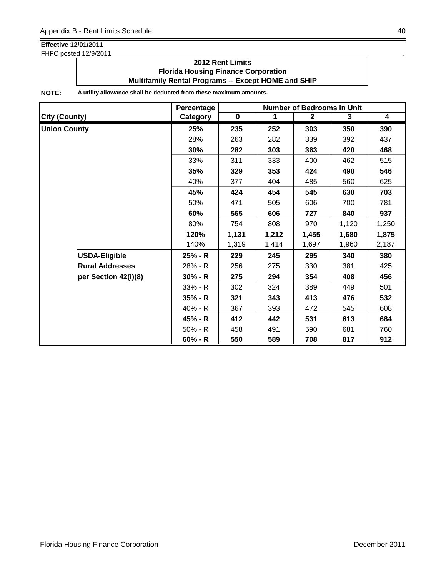FHFC posted 12/9/2011 .

### **2012 Rent Limits Florida Housing Finance Corporation Multifamily Rental Programs -- Except HOME and SHIP**

|                        | Percentage | <b>Number of Bedrooms in Unit</b> |              |              |       |                         |
|------------------------|------------|-----------------------------------|--------------|--------------|-------|-------------------------|
| <b>City (County)</b>   | Category   | $\mathbf 0$                       | $\mathbf{1}$ | $\mathbf{2}$ | 3     | $\overline{\mathbf{4}}$ |
| <b>Union County</b>    | 25%        | 235                               | 252          | 303          | 350   | 390                     |
|                        | 28%        | 263                               | 282          | 339          | 392   | 437                     |
|                        | 30%        | 282                               | 303          | 363          | 420   | 468                     |
|                        | 33%        | 311                               | 333          | 400          | 462   | 515                     |
|                        | 35%        | 329                               | 353          | 424          | 490   | 546                     |
|                        | 40%        | 377                               | 404          | 485          | 560   | 625                     |
|                        | 45%        | 424                               | 454          | 545          | 630   | 703                     |
|                        | 50%        | 471                               | 505          | 606          | 700   | 781                     |
|                        | 60%        | 565                               | 606          | 727          | 840   | 937                     |
|                        | 80%        | 754                               | 808          | 970          | 1,120 | 1,250                   |
|                        | 120%       | 1,131                             | 1,212        | 1,455        | 1,680 | 1,875                   |
|                        | 140%       | 1,319                             | 1,414        | 1,697        | 1,960 | 2,187                   |
| <b>USDA-Eligible</b>   | 25% - R    | 229                               | 245          | 295          | 340   | 380                     |
| <b>Rural Addresses</b> | 28% - R    | 256                               | 275          | 330          | 381   | 425                     |
| per Section 42(i)(8)   | $30% - R$  | 275                               | 294          | 354          | 408   | 456                     |
|                        | $33% - R$  | 302                               | 324          | 389          | 449   | 501                     |
|                        | $35% - R$  | 321                               | 343          | 413          | 476   | 532                     |
|                        | 40% - R    | 367                               | 393          | 472          | 545   | 608                     |
|                        | 45% - R    | 412                               | 442          | 531          | 613   | 684                     |
|                        | $50% - R$  | 458                               | 491          | 590          | 681   | 760                     |
|                        | $60% - R$  | 550                               | 589          | 708          | 817   | 912                     |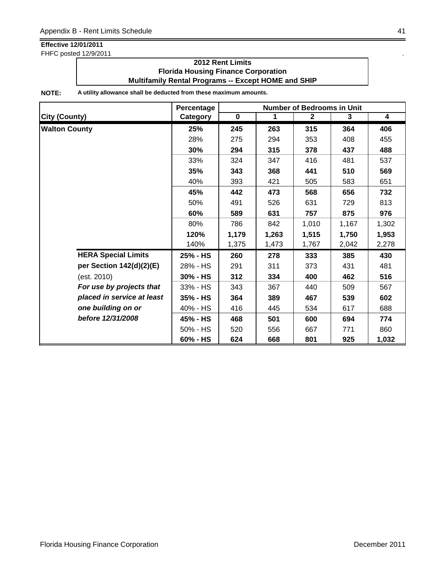FHFC posted 12/9/2011 .

### **2012 Rent Limits Florida Housing Finance Corporation Multifamily Rental Programs -- Except HOME and SHIP**

|                            | Percentage | <b>Number of Bedrooms in Unit</b> |       |              |       |                         |
|----------------------------|------------|-----------------------------------|-------|--------------|-------|-------------------------|
| <b>City (County)</b>       | Category   | $\mathbf 0$                       | 1     | $\mathbf{2}$ | 3     | $\overline{\mathbf{4}}$ |
| <b>Walton County</b>       | 25%        | 245                               | 263   | 315          | 364   | 406                     |
|                            | 28%        | 275                               | 294   | 353          | 408   | 455                     |
|                            | 30%        | 294                               | 315   | 378          | 437   | 488                     |
|                            | 33%        | 324                               | 347   | 416          | 481   | 537                     |
|                            | 35%        | 343                               | 368   | 441          | 510   | 569                     |
|                            | 40%        | 393                               | 421   | 505          | 583   | 651                     |
|                            | 45%        | 442                               | 473   | 568          | 656   | 732                     |
|                            | 50%        | 491                               | 526   | 631          | 729   | 813                     |
|                            | 60%        | 589                               | 631   | 757          | 875   | 976                     |
|                            | 80%        | 786                               | 842   | 1,010        | 1,167 | 1,302                   |
|                            | 120%       | 1,179                             | 1,263 | 1,515        | 1,750 | 1,953                   |
|                            | 140%       | 1,375                             | 1,473 | 1,767        | 2,042 | 2,278                   |
| <b>HERA Special Limits</b> | 25% - HS   | 260                               | 278   | 333          | 385   | 430                     |
| per Section 142(d)(2)(E)   | 28% - HS   | 291                               | 311   | 373          | 431   | 481                     |
| (est. 2010)                | 30% - HS   | 312                               | 334   | 400          | 462   | 516                     |
| For use by projects that   | 33% - HS   | 343                               | 367   | 440          | 509   | 567                     |
| placed in service at least | 35% - HS   | 364                               | 389   | 467          | 539   | 602                     |
| one building on or         | 40% - HS   | 416                               | 445   | 534          | 617   | 688                     |
| before 12/31/2008          | 45% - HS   | 468                               | 501   | 600          | 694   | 774                     |
|                            | 50% - HS   | 520                               | 556   | 667          | 771   | 860                     |
|                            | 60% - HS   | 624                               | 668   | 801          | 925   | 1,032                   |